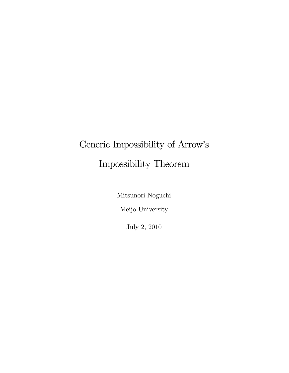# Generic Impossibility of Arrow's Impossibility Theorem

Mitsunori Noguchi

Meijo University

July 2, 2010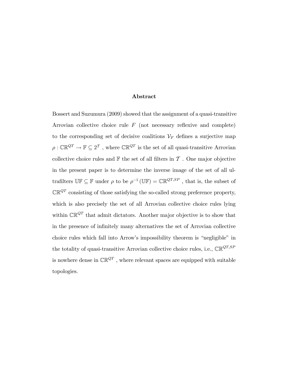#### Abstract

Bossert and Suzumura (2009) showed that the assignment of a quasi-transitive Arrovian collective choice rule  $F$  (not necessary reflexive and complete) to the corresponding set of decisive coalitions  $\mathcal{V}_F$  defines a surjective map  $\rho : \mathbb{CR}^{QT} \to \mathbb{F} \subseteq 2^T$ , where  $\mathbb{CR}^{QT}$  is the set of all quasi-transitive Arrovian collective choice rules and  $\mathbb F$  the set of all filters in  $\mathcal T$ . One major objective in the present paper is to determine the inverse image of the set of all ultrafilters  $\mathbb{UF} \subseteq \mathbb{F}$  under  $\rho$  to be  $\rho^{-1}(\mathbb{UF}) = \mathbb{CR}^{QT,SP}$ , that is, the subset of  $\mathbb{CR}^{QT}$  consisting of those satisfying the so-called strong preference property, which is also precisely the set of all Arrovian collective choice rules lying within  $\mathbb{CR}^{QT}$  that admit dictators. Another major objective is to show that in the presence of infinitely many alternatives the set of Arrovian collective choice rules which fall into Arrow's impossibility theorem is "negligible" in the totality of quasi-transitive Arrovian collective choice rules, i.e.,  $\mathbb{CR}^{QT,SP}$ is nowhere dense in  $\mathbb{CR}^{QT}$ , where relevant spaces are equipped with suitable topologies.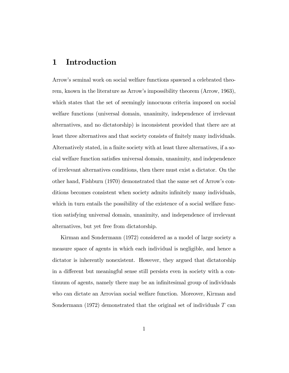### 1 Introduction

Arrowís seminal work on social welfare functions spawned a celebrated theorem, known in the literature as Arrowís impossibility theorem (Arrow, 1963), which states that the set of seemingly innocuous criteria imposed on social welfare functions (universal domain, unanimity, independence of irrelevant alternatives, and no dictatorship) is inconsistent provided that there are at least three alternatives and that society consists of finitely many individuals. Alternatively stated, in a finite society with at least three alternatives, if a social welfare function satisÖes universal domain, unanimity, and independence of irrelevant alternatives conditions, then there must exist a dictator. On the other hand, Fishburn (1970) demonstrated that the same set of Arrowís conditions becomes consistent when society admits infinitely many individuals, which in turn entails the possibility of the existence of a social welfare function satisfying universal domain, unanimity, and independence of irrelevant alternatives, but yet free from dictatorship.

Kirman and Sondermann (1972) considered as a model of large society a measure space of agents in which each individual is negligible, and hence a dictator is inherently nonexistent. However, they argued that dictatorship in a different but meaningful sense still persists even in society with a continuum of agents, namely there may be an infinitesimal group of individuals who can dictate an Arrovian social welfare function. Moreover, Kirman and Sondermann (1972) demonstrated that the original set of individuals  $T$  can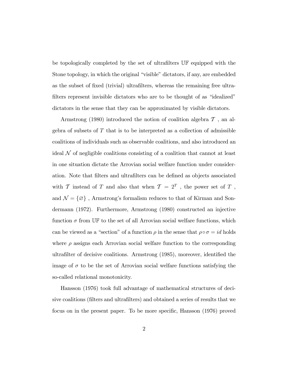be topologically completed by the set of ultrafilters  $\mathbb{U} \mathbb{F}$  equipped with the Stone topology, in which the original "visible" dictators, if any, are embedded as the subset of Öxed (trivial) ultraÖlters, whereas the remaining free ultrafilters represent invisible dictators who are to be thought of as "idealized" dictators in the sense that they can be approximated by visible dictators.

Armstrong (1980) introduced the notion of coalition algebra  $\mathcal T$ , an algebra of subsets of  $T$  that is to be interpreted as a collection of admissible coalitions of individuals such as observable coalitions, and also introduced an ideal  $\mathcal N$  of negligible coalitions consisting of a coalition that cannot at least in one situation dictate the Arrovian social welfare function under consideration. Note that Ölters and ultraÖlters can be deÖned as objects associated with  $T$  instead of  $T$  and also that when  $T = 2^T$ , the power set of  $T$ , and  $\mathcal{N} = \{\varnothing\}$  , Armstrong's formalism reduces to that of Kirman and Sondermann (1972). Furthermore, Armstrong (1980) constructed an injective function  $\sigma$  from UF to the set of all Arrovian social welfare functions, which can be viewed as a "section" of a function  $\rho$  in the sense that  $\rho \circ \sigma = id$  holds where  $\rho$  assigns each Arrovian social welfare function to the corresponding ultrafilter of decisive coalitions. Armstrong (1985), moreover, identified the image of  $\sigma$  to be the set of Arrovian social welfare functions satisfying the so-called relational monotonicity.

Hansson (1976) took full advantage of mathematical structures of decisive coalitions (filters and ultrafilters) and obtained a series of results that we focus on in the present paper. To be more specific, Hansson  $(1976)$  proved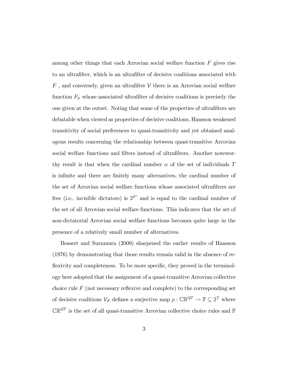among other things that each Arrovian social welfare function  $F$  gives rise to an ultraÖlter, which is an ultraÖlter of decisive coalitions associated with  $F$ , and conversely, given an ultrafilter  $\mathcal V$  there is an Arrovian social welfare function  $F_v$  whose associated ultrafilter of decisive coalitions is precisely the one given at the outset. Noting that some of the properties of ultrafilters are debatable when viewed as properties of decisive coalitions, Hansson weakened transitivity of social preferences to quasi-transitivity and yet obtained analogous results concerning the relationship between quasi-transitive Arrovian social welfare functions and filters instead of ultrafilters. Another noteworthy result is that when the cardinal number  $\alpha$  of the set of individuals T is infinite and there are finitely many alternatives, the cardinal number of the set of Arrovian social welfare functions whose associated ultrafilters are free (i.e., invisible dictators) is  $2^{2^{\alpha}}$  and is equal to the cardinal number of the set of all Arrovian social welfare functions. This indicates that the set of non-dictatorial Arrovian social welfare functions becomes quite large in the presence of a relatively small number of alternatives.

Bossert and Suzumura (2009) sharpened the earlier results of Hansson (1976) by demonstrating that those results remain valid in the absence of reflexivity and completeness. To be more specific, they proved in the terminology here adopted that the assignment of a quasi-transitive Arrovian collective choice rule  $F$  (not necessary reflexive and complete) to the corresponding set of decisive coalitions  $\mathcal{V}_F$  defines a surjective map  $\rho : \mathbb{CR}^{QT} \to \mathbb{F} \subseteq 2^T$  where  $\mathbb{CR}^{QT}$  is the set of all quasi-transitive Arrovian collective choice rules and  $\mathbb F$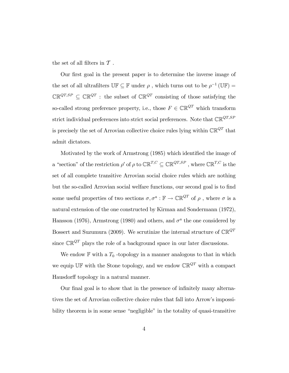the set of all filters in  $\mathcal T$ .

Our first goal in the present paper is to determine the inverse image of the set of all ultrafilters  $\mathbb{U}\mathbb{F} \subseteq \mathbb{F}$  under  $\rho$ , which turns out to be  $\rho^{-1}(\mathbb{U}\mathbb{F}) =$  $\mathbb{CR}^{QT,SP} \subseteq \mathbb{CR}^{QT}$ : the subset of  $\mathbb{CR}^{QT}$  consisting of those satisfying the so-called strong preference property, i.e., those  $F \in \mathbb{CR}^{QT}$  which transform strict individual preferences into strict social preferences. Note that  $\mathbb{CR}^{QT,SP}$ is precisely the set of Arrovian collective choice rules lying within  $\mathbb{CR}^{QT}$  that admit dictators.

Motivated by the work of Armstrong (1985) which identified the image of a "section" of the restriction  $\rho'$  of  $\rho$  to  $\mathbb{CR}^{T,C} \subseteq \mathbb{CR}^{QT,SP}$ , where  $\mathbb{CR}^{T,C}$  is the set of all complete transitive Arrovian social choice rules which are nothing but the so-called Arrovian social welfare functions, our second goal is to find some useful properties of two sections  $\sigma, \sigma^a : \mathbb{F} \to \mathbb{CR}^{QT}$  of  $\rho$ , where  $\sigma$  is a natural extension of the one constructed by Kirman and Sondermann (1972), Hansson (1976), Armstrong (1980) and others, and  $\sigma^a$  the one considered by Bossert and Suzumura (2009). We scrutinize the internal structure of  $\mathbb{CR}^{QT}$ since  $\mathbb{CR}^{QT}$  plays the role of a background space in our later discussions.

We endow  $\mathbb F$  with a  $T_0$ -topology in a manner analogous to that in which we equip UF with the Stone topology, and we endow  $\mathbb{CR}^{QT}$  with a compact Hausdorff topology in a natural manner.

Our final goal is to show that in the presence of infinitely many alternatives the set of Arrovian collective choice rules that fall into Arrow's impossibility theorem is in some sense "negligible" in the totality of quasi-transitive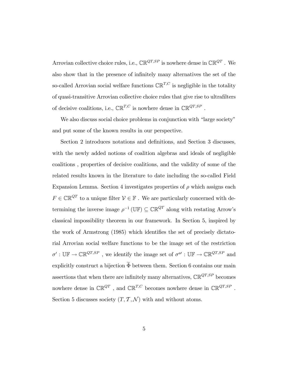Arrovian collective choice rules, i.e.,  $\mathbb{CR}^{QT,SP}$  is nowhere dense in  $\mathbb{CR}^{QT}$ . We also show that in the presence of infinitely many alternatives the set of the so-called Arrovian social welfare functions  $\mathbb{CR}^{T,C}$  is negligible in the totality of quasi-transitive Arrovian collective choice rules that give rise to ultrafilters of decisive coalitions, i.e.,  $\mathbb{CR}^{T,C}$  is nowhere dense in  $\mathbb{CR}^{QT,SP}$ .

We also discuss social choice problems in conjunction with "large society" and put some of the known results in our perspective.

Section 2 introduces notations and definitions, and Section 3 discusses, with the newly added notions of coalition algebras and ideals of negligible coalitions , properties of decisive coalitions, and the validity of some of the related results known in the literature to date including the so-called Field Expansion Lemma. Section 4 investigates properties of  $\rho$  which assigns each  $F\in\mathbb{CR}^{QT}$  to a unique filter  $\mathcal{V}\in\mathbb{F}$  . We are particularly concerned with determining the inverse image  $\rho^{-1}(\mathbb{U}\mathbb{F}) \subseteq \mathbb{CR}^{QT}$  along with restating Arrow's classical impossibility theorem in our framework. In Section 5, inspired by the work of Armstrong (1985) which identifies the set of precisely dictatorial Arrovian social welfare functions to be the image set of the restriction  $\sigma' : \mathbb{UF} \to \mathbb{CR}^{QT,SP}$ , we identify the image set of  $\sigma^{a'} : \mathbb{UF} \to \mathbb{CR}^{QT,SP}$  and explicitly construct a bijection  $\widetilde{\Phi}$  between them. Section 6 contains our main assertions that when there are infinitely many alternatives,  $\mathbb{CR}^{QT,SP}$  becomes nowhere dense in  $\mathbb{CR}^{QT}$ , and  $\mathbb{CR}^{T,C}$  becomes nowhere dense in  $\mathbb{CR}^{QT,SP}$ . Section 5 discusses society  $(T, \mathcal{T}, \mathcal{N})$  with and without atoms.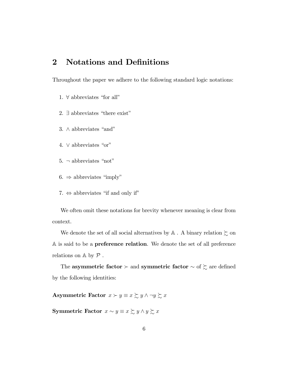## 2 Notations and Definitions

Throughout the paper we adhere to the following standard logic notations:

- 1.  $\forall$  abbreviates "for all"
- 2.  $\exists$  abbreviates "there exist"
- 3.  $\wedge$  abbreviates "and"
- 4.  $\vee$  abbreviates "or"
- 5.  $\neg$  abbreviates "not"
- $6. \Rightarrow$  abbreviates "imply"
- 7.  $\Leftrightarrow$  abbreviates "if and only if"

We often omit these notations for brevity whenever meaning is clear from context.

We denote the set of all social alternatives by  $\mathbb A$  . A binary relation  $\succsim$  on A is said to be a preference relation. We denote the set of all preference relations on  $\mathbb A$  by  $\mathcal P$ .

The asymmetric factor  $\succ$  and symmetric factor  $\sim$  of  $\succsim$  are defined by the following identities:

Asymmetric Factor  $x \succ y \equiv x \succsim y \land \neg y \succsim x$ 

**Symmetric Factor**  $x \sim y \equiv x \succsim y \land y \succsim x$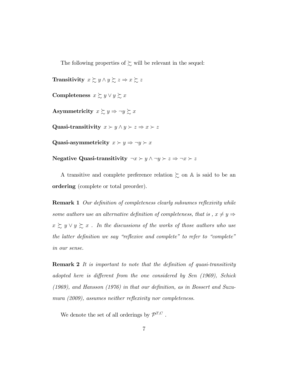The following properties of  $\succsim$  will be relevant in the sequel:

**Transitivity**  $x \succsim y \land y \succsim z \Rightarrow x \succsim z$ Completeness  $x \succsim y \lor y \succsim x$ Asymmetricity  $x \succsim y \Rightarrow \neg y \succsim x$ Quasi-transitivity  $x \succ y \land y \succ z \Rightarrow x \succ z$ Quasi-asymmetricity  $x \succ y \Rightarrow \neg y \succ x$ Negative Quasi-transitivity  $\neg x \succ y \land \neg y \succ z \Rightarrow \neg x \succ z$ 

A transitive and complete preference relation  $\succsim$  on  $\mathbb A$  is said to be an ordering (complete or total preorder).

**Remark 1** Our definition of completeness clearly subsumes reflexivity while some authors use an alternative definition of completeness, that is,  $x \neq y \Rightarrow$  $x \gtrsim y \vee y \gtrsim x$ . In the discussions of the works of those authors who use the latter definition we say "reflexive and complete" to refer to "complete" in our sense.

**Remark 2** It is important to note that the definition of quasi-transitivity adopted here is different from the one considered by Sen  $(1969)$ , Schick  $(1969)$ , and Hansson  $(1976)$  in that our definition, as in Bossert and Suzumura  $(2009)$ , assumes neither reflexivity nor completeness.

We denote the set of all orderings by  $\mathcal{P}^{T,C}$ .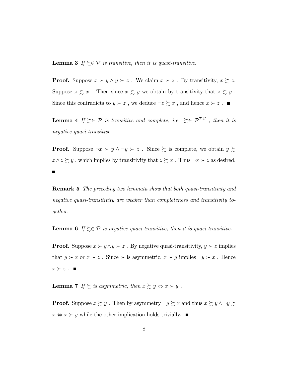**Lemma 3** If  $\gtrsim \in \mathcal{P}$  is transitive, then it is quasi-transitive.

**Proof.** Suppose  $x \succ y \land y \succ z$ . We claim  $x \succ z$ . By transitivity,  $x \succsim z$ . Suppose  $z \gtrsim x$ . Then since  $x \gtrsim y$  we obtain by transitivity that  $z \gtrsim y$ . Since this contradicts to  $y \succ z$ , we deduce  $\neg z \succsim x$ , and hence  $x \succ z$ .

**Lemma 4** If  $\succeq \in \mathcal{P}$  is transitive and complete, i.e.  $\succeq \in \mathcal{P}^{T,C}$ , then it is negative quasi-transitive.

**Proof.** Suppose  $\neg x \succ y \land \neg y \succ z$ . Since  $\succsim$  is complete, we obtain  $y \succsim$  $x \wedge z \succsim y$ , which implies by transitivity that  $z \succsim x$ . Thus  $\neg x \succ z$  as desired.

Remark 5 The preceding two lemmata show that both quasi-transitivity and negative quasi-transitivity are weaker than completeness and transitivity together.

**Lemma 6** If  $\gtrsim \in \mathcal{P}$  is negative quasi-transitive, then it is quasi-transitive.

**Proof.** Suppose  $x \succ y \land y \succ z$ . By negative quasi-transitivity,  $y \succ z$  implies that  $y \succ x$  or  $x \succ z$ . Since  $\succ$  is asymmetric,  $x \succ y$  implies  $\neg y \succ x$ . Hence  $x \succ z$ .

**Lemma 7** If  $\succsim$  is asymmetric, then  $x \succsim y \Leftrightarrow x \succ y$ .

**Proof.** Suppose  $x \succsim y$ . Then by asymmetry  $\neg y \succsim x$  and thus  $x \succsim y \land \neg y \succsim$  $x \Leftrightarrow x \succ y$  while the other implication holds trivially.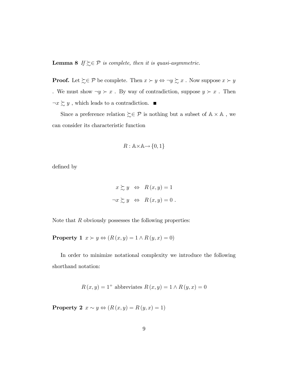**Lemma 8** If  $\geq \in \mathcal{P}$  is complete, then it is quasi-asymmetric.

**Proof.** Let  $\succsim \mathcal{P}$  be complete. Then  $x \succ y \Leftrightarrow \neg y \succsim x$ . Now suppose  $x \succ y$ . We must show  $\neg y \succ x$ . By way of contradiction, suppose  $y \succ x$ . Then  $\neg x \succsim y$  , which leads to a contradiction.  $\blacksquare$ 

Since a preference relation  $\zeta \in \mathcal{P}$  is nothing but a subset of  $\mathbb{A} \times \mathbb{A}$ , we can consider its characteristic function

$$
R: \mathbb{A} \times \mathbb{A} \to \{0, 1\}
$$

defined by

$$
x \succsim y \Leftrightarrow R(x, y) = 1
$$
  

$$
\neg x \succsim y \Leftrightarrow R(x, y) = 0.
$$

Note that  $R$  obviously possesses the following properties:

**Property 1**  $x > y \Leftrightarrow (R(x, y) = 1 \land R(y, x) = 0)$ 

In order to minimize notational complexity we introduce the following shorthand notation:

$$
R(x, y) = 1+ abbreviates R(x, y) = 1 \land R(y, x) = 0
$$

**Property 2**  $x \sim y \Leftrightarrow (R(x, y) = R(y, x) = 1)$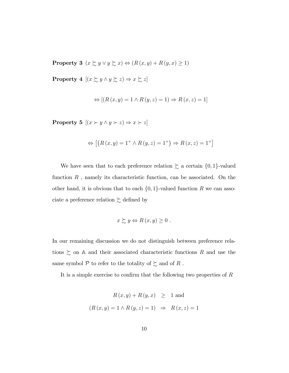**Property 3**  $(x \succsim y \lor y \succsim x) \Leftrightarrow (R(x, y) + R(y, x) \ge 1)$ 

**Property 4**  $[(x \succsim y \land y \succsim z) \Rightarrow x \succsim z]$ 

$$
\Leftrightarrow [(R(x, y) = 1 \land R(y, z) = 1) \Rightarrow R(x, z) = 1]
$$

**Property 5**  $[(x \succ y \land y \succ z) \Rightarrow x \succ z]$ 

$$
\Leftrightarrow [(R(x, y) = 1^+ \land R(y, z) = 1^+) \Rightarrow R(x, z) = 1^+]
$$

We have seen that to each preference relation  $\succsim$  a certain  $\{0,1\}$ -valued function  $R$ , namely its characteristic function, can be associated. On the other hand, it is obvious that to each  $\{0,1\}$ -valued function R we can associate a preference relation  $\succsim$  defined by

$$
x \succsim y \Leftrightarrow R(x, y) \geq 0.
$$

In our remaining discussion we do not distinguish between preference relations  $\gtrsim$  on A and their associated characteristic functions R and use the same symbol  ${\mathcal P}$  to refer to the totality of  $\succsim$  and of  $R$  .

It is a simple exercise to confirm that the following two properties of  $R$ 

$$
R(x, y) + R(y, x) \ge 1
$$
 and  

$$
(R(x, y) = 1 \land R(y, z) = 1) \Rightarrow R(x, z) = 1
$$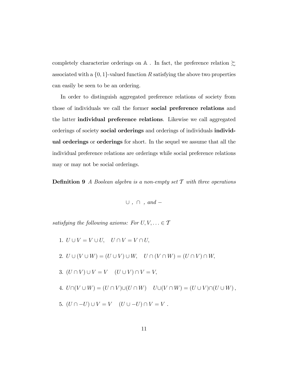completely characterize orderings on  $\mathbb A$  . In fact, the preference relation  $\succsim$ associated with a  $\{0,1\}$ -valued function R satisfying the above two properties can easily be seen to be an ordering.

In order to distinguish aggregated preference relations of society from those of individuals we call the former social preference relations and the latter individual preference relations. Likewise we call aggregated orderings of society social orderings and orderings of individuals individual orderings or orderings for short. In the sequel we assume that all the individual preference relations are orderings while social preference relations may or may not be social orderings.

**Definition 9** A Boolean algebra is a non-empty set  $\mathcal T$  with three operations

 $\cup$ ,  $\cap$ , and -

satisfying the following axioms: For  $U, V, \ldots \in \mathcal{T}$ 

- 1.  $U \cup V = V \cup U$ ,  $U \cap V = V \cap U$ ,
- 2.  $U \cup (V \cup W) = (U \cup V) \cup W$ ,  $U \cap (V \cap W) = (U \cap V) \cap W$ ,
- 3.  $(U \cap V) \cup V = V$   $(U \cup V) \cap V = V$ ;
- 4.  $U\cap (V \cup W) = (U \cap V)\cup (U \cap W)$   $U\cup (V \cap W) = (U \cup V)\cap (U \cup W),$
- 5.  $(U \cap -U) \cup V = V$   $(U \cup -U) \cap V = V$ .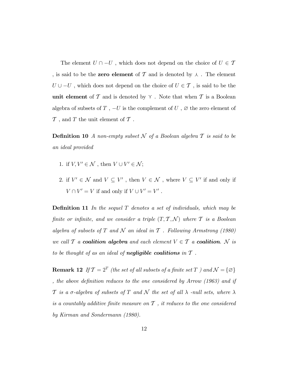The element  $U \cap -U$ , which does not depend on the choice of  $U \in \mathcal{T}$ , is said to be the **zero element** of T and is denoted by  $\lambda$ . The element  $U \cup -U$ , which does not depend on the choice of  $U \in \mathcal{T}$ , is said to be the unit element of  $\mathcal T$  and is denoted by  $\gamma$ . Note that when  $\mathcal T$  is a Boolean algebra of subsets of T,  $-U$  is the complement of U,  $\varnothing$  the zero element of  $\mathcal T$ , and  $T$  the unit element of  $\mathcal T$ .

**Definition 10** A non-empty subset N of a Boolean algebra  $T$  is said to be an ideal provided

- 1. if  $V, V' \in \mathcal{N}$ , then  $V \cup V' \in \mathcal{N}$ ;
- 2. if  $V' \in \mathcal{N}$  and  $V \subseteq V'$ , then  $V \in \mathcal{N}$ , where  $V \subseteq V'$  if and only if  $V \cap V' = V$  if and only if  $V \cup V' = V'$ .

**Definition 11** In the sequel  $T$  denotes a set of individuals, which may be finite or infinite, and we consider a triple  $(T, \mathcal{T}, \mathcal{N})$  where  $\mathcal T$  is a Boolean algebra of subsets of T and N an ideal in T . Following Armstrong (1980) we call  $T$  a **coalition algebra** and each element  $V \in T$  a **coalition**.  $N$  is to be thought of as an ideal of **negligible coalitions** in  $\mathcal T$ .

**Remark 12** If  $\mathcal{T} = 2^T$  (the set of all subsets of a finite set  $T$  ) and  $\mathcal{N} = {\emptyset}$ , the above definition reduces to the one considered by Arrow  $(1963)$  and if T is a  $\sigma$ -algebra of subsets of T and N the set of all  $\lambda$  -null sets, where  $\lambda$ is a countably additive finite measure on  $\mathcal T$ , it reduces to the one considered by Kirman and Sondermann (1980).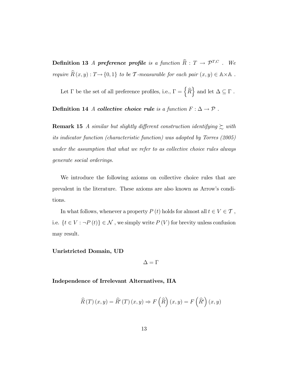**Definition 13** A preference profile is a function  $\widehat{R}$  :  $T \rightarrow \mathcal{P}^{T,C}$  . We require  $R(x, y) : T \to \{0, 1\}$  to be T-measurable for each pair  $(x, y) \in A \times A$ .

Let  $\Gamma$  be the set of all preference profiles, i.e.,  $\Gamma = \left\{\widehat{R}\right\}$  and let  $\Delta \subseteq \Gamma$ .

Definition 14 A collective choice rule is a function  $F : \Delta \to \mathcal{P}$ .

**Remark 15** A similar but slightly different construction identifying  $\gtrsim$  with its indicator function (characteristic function) was adopted by Torres (2005) under the assumption that what we refer to as collective choice rules always generate social orderings.

We introduce the following axioms on collective choice rules that are prevalent in the literature. These axioms are also known as Arrowís conditions.

In what follows, whenever a property  $P\left(t\right)$  holds for almost all  $t\in V\in\mathcal{T}$  , i.e.  $\{t \in V : \neg P\left(t\right)\} \in \mathcal{N}$  , we simply write  $P\left(V\right)$  for brevity unless confusion may result.

#### Unristricted Domain, UD

 $\Delta=\Gamma$ 

Independence of Irrelevant Alternatives, IIA

$$
\widehat{R}(T)(x,y) = \widehat{R}'(T)(x,y) \Rightarrow F(\widehat{R})(x,y) = F(\widehat{R}')(x,y)
$$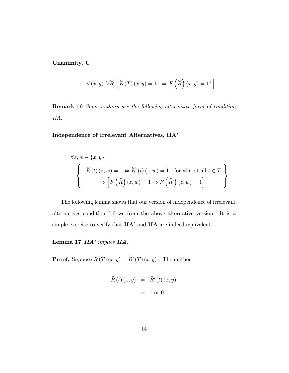Unanimity, U

$$
\forall (x, y) \ \forall \widehat{R} \ \left[ \widehat{R}(T)(x, y) = 1^+ \Rightarrow F\left(\widehat{R}\right)(x, y) = 1^+ \right]
$$

Remark 16 Some authors use the following alternative form of condition IIA:

#### Independence of Irrelevant Alternatives, IIA<sup></sup>

$$
\forall z, w \in \{x, y\}
$$

$$
\left\{ \left[ \widehat{R}(t) (z, w) = 1 \Leftrightarrow \widehat{R}'(t) (z, w) = 1 \right] \text{ for almost all } t \in T \right\}
$$

$$
\Rightarrow \left[ F(\widehat{R}) (z, w) = 1 \Leftrightarrow F(\widehat{R}') (z, w) = 1 \right]
$$

The following lemma shows that our version of independence of irrelevant alternatives condition follows from the above alternative version. It is a simple exercise to verify that  $IIA'$  and  $IIA$  are indeed equivalent.

Lemma 17 IIA<sup></sup> implies IIA.

**Proof.** Suppose  $R(T)(x, y) = R'(T)(x, y)$ . Then either

$$
\widehat{R}(t)(x, y) = \widehat{R}'(t)(x, y) \n= 1 \text{ or } 0
$$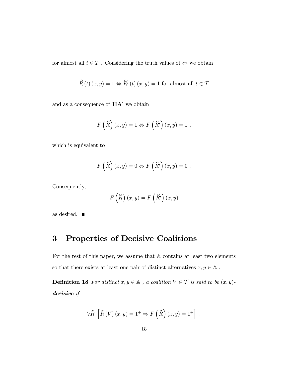for almost all  $t \in T$ . Considering the truth values of  $\Leftrightarrow$  we obtain

$$
\widehat{R}(t)(x,y) = 1 \Leftrightarrow \widehat{R}'(t)(x,y) = 1 \text{ for almost all } t \in \mathcal{T}
$$

and as a consequence of  $IIA'$  we obtain

$$
F\left(\widehat{R}\right)(x,y) = 1 \Leftrightarrow F\left(\widehat{R}'\right)(x,y) = 1 ,
$$

which is equivalent to

$$
F\left(\widehat{R}\right)(x,y) = 0 \Leftrightarrow F\left(\widehat{R}'\right)(x,y) = 0.
$$

Consequently,

$$
F\left(\widehat{R}\right)(x,y) = F\left(\widehat{R'}\right)(x,y)
$$

as desired.

## 3 Properties of Decisive Coalitions

For the rest of this paper, we assume that A contains at least two elements so that there exists at least one pair of distinct alternatives  $x,y\in\mathbb{A}$  .

**Definition 18** For distinct  $x, y \in A$ , a coalition  $V \in T$  is said to be  $(x, y)$ decisive if

$$
\forall \widehat{R} \left[ \widehat{R} \left( V \right) (x, y) = 1^+ \Rightarrow F \left( \widehat{R} \right) (x, y) = 1^+ \right] .
$$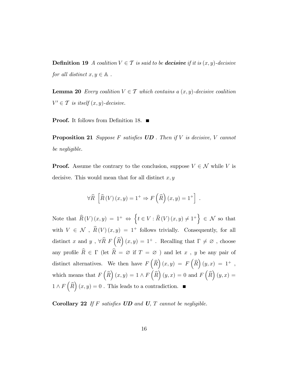**Definition 19** A coalition  $V \in \mathcal{T}$  is said to be **decisive** if it is  $(x, y)$ -decisive for all distinct  $x, y \in A$ .

**Lemma 20** Every coalition  $V \in \mathcal{T}$  which contains a  $(x, y)$ -decisive coalition  $V' \in \mathcal{T}$  is itself  $(x, y)$ -decisive.

**Proof.** It follows from Definition 18.  $\blacksquare$ 

**Proposition 21** Suppose F satisfies  $UD$  . Then if V is decisive, V cannot be negligible.

**Proof.** Assume the contrary to the conclusion, suppose  $V \in \mathcal{N}$  while V is decisive. This would mean that for all distinct  $x, y$ 

$$
\forall \widehat{R} \left[ \widehat{R} \left( V \right) (x, y) = 1^+ \Rightarrow F \left( \widehat{R} \right) (x, y) = 1^+ \right] .
$$

Note that  $\widehat{R}(V)(x,y) = 1^+ \Leftrightarrow \left\{ t \in V : \widehat{R}(V)(x,y) \neq 1^+ \right\} \in \mathcal{N}$  so that with  $V \in \mathcal{N}$ ,  $\widehat{R}(V) (x, y) = 1^+$  follows trivially. Consequently, for all distinct x and y,  $\forall \widehat{R} \ F\left(\widehat{R}\right)(x,y) = 1^+$ . Recalling that  $\Gamma \neq \emptyset$ , choose any profile  $\widehat{R}\, \in\, \Gamma$  (let  $\widehat{R}\, =\, \varnothing$  if  $T\, =\, \varnothing$  ) and let  $x$  ,  $y$  be any pair of distinct alternatives. We then have  $F\left(\widehat{R}\right)(x,y) = F\left(\widehat{R}\right)(y,x) = 1^+$ , which means that  $F\left(\widehat{R}\right)(x,y) = 1 \wedge F\left(\widehat{R}\right)(y,x) = 0$  and  $F\left(\widehat{R}\right)(y,x) = 0$  $1 \wedge F\left(\widehat{R}\right)(x, y) = 0$ . This leads to a contradiction.

Corollary 22 If F satisfies  $UD$  and  $U$ ,  $T$  cannot be negligible.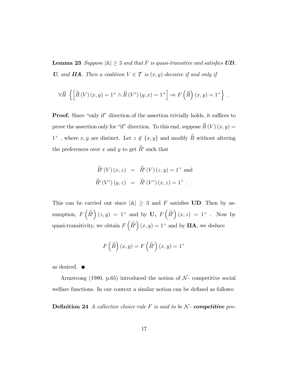**Lemma 23** Suppose  $|\mathbb{A}| \geq 3$  and that F is quasi-transitive and satisfies UD, U, and IIA. Then a coalition  $V \in \mathcal{T}$  is  $(x, y)$ -decisive if and only if

$$
\forall \widehat{R} \left\{ \left[ \widehat{R} \left( V \right) (x, y) = 1^+ \wedge \widehat{R} \left( V^c \right) (y, x) = 1^+ \right] \Rightarrow F \left( \widehat{R} \right) (x, y) = 1^+ \right\} .
$$

**Proof.** Since "only if" direction of the assertion trivially holds, it suffices to prove the assertion only for "if" direction. To this end, suppose  $\widehat{R}(V) (x, y) =$  $1^+$ , where  $x, y$  are distinct. Let  $z \notin \{x, y\}$  and modify  $\widehat{R}$  without altering the preferences over  $x$  and  $y$  to get  $\widehat{R}'$  such that

$$
\widehat{R}'(V)(x, z) = \widehat{R}'(V)(z, y) = 1^+ \text{ and}
$$
  

$$
\widehat{R}'(V^c)(y, z) = \widehat{R}'(V^c)(x, z) = 1^+.
$$

This can be carried out since  $|A| \geq 3$  and F satisfies UD. Then by assumption,  $F\left(\widehat{R}'\right)(z, y) = 1^+$  and by  $\mathbf{U}, F\left(\widehat{R}'\right)(x, z) = 1^+$ . Now by quasi-transitivity, we obtain  $F\left(\widehat{R}'\right)(x, y) = 1^+$  and by **IIA**, we deduce

$$
F\left(\widehat{R}\right)(x,y) = F\left(\widehat{R}'\right)(x,y) = 1^+
$$

as desired.  $\blacksquare$ 

Armstrong (1980, p.65) introduced the notion of  $\mathcal{N}$ - competitive social welfare functions. In our context a similar notion can be defined as follows:

**Definition 24** A collective choice rule F is said to be  $N$ - **competitive** pro-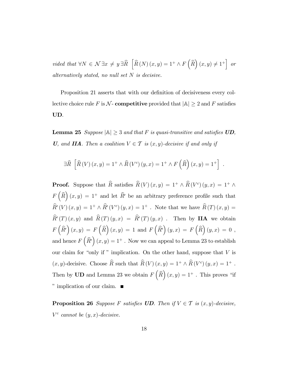vided that  $\forall N \in \mathcal{N} \exists x \neq y \exists \widehat{R} \left[ \widehat{R}(N)(x, y) = 1^+ \wedge F(\widehat{R})(x, y) \neq 1^+ \right]$  or alternatively stated, no null set  $N$  is decisive.

Proposition 21 asserts that with our definition of decisiveness every collective choice rule F is  $\mathcal N$ - competitive provided that  $|\mathbb A|\geq 2$  and F satisfies UD.

**Lemma 25** Suppose  $|\mathbb{A}| \geq 3$  and that F is quasi-transitive and satisfies UD, U, and IIA. Then a coalition  $V \in \mathcal{T}$  is  $(x, y)$ -decisive if and only if

$$
\exists \widehat{R} \left[ \widehat{R}(V)(x,y) = 1^+ \wedge \widehat{R}(V^c)(y,x) = 1^+ \wedge F(\widehat{R})(x,y) = 1^+ \right] .
$$

**Proof.** Suppose that  $\widehat{R}$  satisfies  $\widehat{R}(V)(x, y) = 1^+ \wedge \widehat{R}(V^c)(y, x) = 1^+ \wedge \widehat{R}(V^c)(y, x)$  $F\left(\widehat{R}\right)(x,y) = 1^+$  and let  $\widehat{R}'$  be an arbitrary preference profile such that  $\hat{R}'(V)(x,y) = 1^+ \wedge \hat{R}'(V^c)(y,x) = 1^+$ . Note that we have  $\hat{R}(T)(x,y) =$  $R'(T)(x, y)$  and  $R(T)(y, x) = R'(T)(y, x)$ . Then by **IIA** we obtain  $F\left(\widehat{R}'\right)(x,y) = F\left(\widehat{R}\right)(x,y) = 1 \text{ and } F\left(\widehat{R}'\right)(y,x) = F\left(\widehat{R}\right)(y,x) = 0,$ and hence  $F\left(\widehat{R'}\right)(x, y) = 1^+$  . Now we can appeal to Lemma 23 to establish our claim for "only if " implication. On the other hand, suppose that  $V$  is  $(x, y)$ -decisive. Choose  $\hat{R}$  such that  $\hat{R}(V)(x, y) = 1^+ \wedge \hat{R}(V^c)(y, x) = 1^+$ . Then by **UD** and Lemma 23 we obtain  $F\left(\widehat{R}\right)(x, y) = 1^+$ . This proves "if " implication of our claim.  $\blacksquare$ 

**Proposition 26** Suppose F satisfies **UD**. Then if  $V \in \mathcal{T}$  is  $(x, y)$ -decisive,  $V^c$  cannot be  $(y, x)$ -decisive.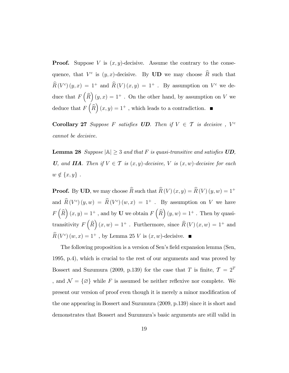**Proof.** Suppose V is  $(x, y)$ -decisive. Assume the contrary to the consequence, that  $V^c$  is  $(y, x)$ -decisive. By **UD** we may choose  $\hat{R}$  such that  $\widehat{R}(V^c)(y,x) = 1^+$  and  $\widehat{R}(V)(x,y) = 1^+$ . By assumption on  $V^c$  we deduce that  $F\left(\widehat{R}\right)(y,x) = 1^+$ . On the other hand, by assumption on V we deduce that  $F\left(\widehat{R}\right)(x, y) = 1^+$ , which leads to a contradiction.

**Corollary 27** Suppose F satisfies **UD**. Then if  $V \in \mathcal{T}$  is decisive,  $V^c$ cannot be decisive.

**Lemma 28** Suppose  $|\mathbb{A}| \geq 3$  and that F is quasi-transitive and satisfies  $UD$ , U, and IIA. Then if  $V \in \mathcal{T}$  is  $(x, y)$ -decisive, V is  $(x, w)$ -decisive for each  $w \notin \{x, y\}$ .

**Proof.** By UD, we may choose  $\widehat{R}$  such that  $\widehat{R}(V) (x, y) = \widehat{R}(V) (y, w) = 1^+$ and  $\hat{R}(V^c)(y, w) = \hat{R}(V^c)(w, x) = 1^+$ . By assumption on V we have  $F\left(\widehat{R}\right)(x,y) = 1^+$ , and by **U** we obtain  $F\left(\widehat{R}\right)(y,w) = 1^+$ . Then by quasitransitivity  $F\left(\widehat{R}\right)(x,w) = 1^+$  . Furthermore, since  $\widehat{R}(V)(x,w) = 1^+$  and  $\hat{R}(V_c)(w, x) = 1^+$ , by Lemma 25 V is  $(x, w)$ -decisive.

The following proposition is a version of Sen's field expansion lemma (Sen, 1995, p.4), which is crucial to the rest of our arguments and was proved by Bossert and Suzumura (2009, p.139) for the case that T is finite,  $T = 2^T$ , and  $\mathcal{N} = \{ \emptyset \}$  while F is assumed be neither reflexive nor complete. We present our version of proof even though it is merely a minor modification of the one appearing in Bossert and Suzumura (2009, p.139) since it is short and demonstrates that Bossert and Suzumuraís basic arguments are still valid in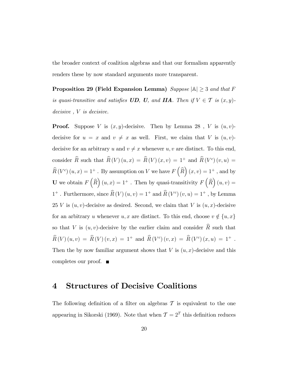the broader context of coalition algebras and that our formalism apparently renders these by now standard arguments more transparent.

Proposition 29 (Field Expansion Lemma) Suppose  $|\mathbb{A}| \geq 3$  and that F is quasi-transitive and satisfies UD, U, and IIA. Then if  $V \in \mathcal{T}$  is  $(x, y)$ decisive, *V* is decisive.

**Proof.** Suppose V is  $(x, y)$ -decisive. Then by Lemma 28, V is  $(u, v)$ decisive for  $u = x$  and  $v \neq x$  as well. First, we claim that V is  $(u, v)$ decisive for an arbitrary u and  $v \neq x$  whenever u, v are distinct. To this end, consider  $\hat{R}$  such that  $\hat{R}(V) (u, x) = \hat{R}(V) (x, v) = 1^+$  and  $\hat{R}(V^c) (v, u) =$  $\widehat{R}(V^c)(u, x) = 1^+$ . By assumption on V we have  $F(\widehat{R})(x, v) = 1^+$ , and by **U** we obtain  $F\left(\widehat{R}\right)(u,x) = 1^+$  . Then by quasi-transitivity  $F\left(\widehat{R}\right)(u,v) =$  $1^+$ . Furthermore, since  $\hat{R}(V)(u, v) = 1^+$  and  $\hat{R}(V^c)(v, u) = 1^+$ , by Lemma 25 V is  $(u, v)$ -decisive as desired. Second, we claim that V is  $(u, x)$ -decisive for an arbitrary u whenever  $u, x$  are distinct. To this end, choose  $v \notin \{u, x\}$ so that V is  $(u, v)$ -decisive by the earlier claim and consider  $\widehat{R}$  such that  $\hat{R}(V) (u, v) = \hat{R}(V) (v, x) = 1^+ \text{ and } \hat{R}(V^c) (v, x) = \hat{R}(V^c) (x, u) = 1^+ \text{ .}$ Then the by now familiar argument shows that  $V$  is  $(u, x)$ -decisive and this completes our proof.

#### 4 Structures of Decisive Coalitions

The following definition of a filter on algebras  $\mathcal T$  is equivalent to the one appearing in Sikorski (1969). Note that when  $\mathcal{T} = 2^T$  this definition reduces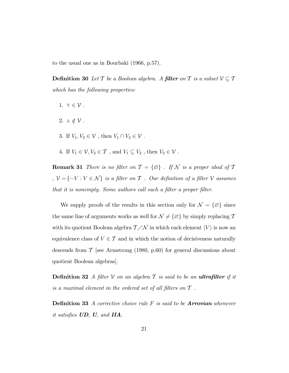to the usual one as in Bourbaki (1966, p.57).

**Definition 30** Let T be a Boolean algebra. A **filter** on T is a subset  $V \subseteq T$ which has the following properties:

- 1.  $\gamma \in \mathcal{V}$ .
- 2.  $\lambda \notin \mathcal{V}$ .
- 3. If  $V_1, V_2 \in \mathcal{V}$  , then  $V_1 \cap V_2 \in \mathcal{V}$  .
- 4. If  $V_1 \in \mathcal{V}, V_2 \in \mathcal{T}$  , and  $V_1 \subseteq V_2$  , then  $V_2 \in \mathcal{V}$  .

**Remark 31** There is no filter on  $\mathcal{T} = \{\emptyset\}$ . If  $\mathcal{N}$  is a proper ideal of  $\mathcal{T}$ ,  $\mathcal{V} = \{-V : V \in \mathcal{N}\}$  is a filter on  $\mathcal T$  . Our definition of a filter  $\mathcal V$  assumes that it is nonempty. Some authors call such a filter a proper filter.

We supply proofs of the results in this section only for  $\mathcal{N} = \{\emptyset\}$  since the same line of arguments works as well for  $\mathcal{N} \neq \{\emptyset\}$  by simply replacing  $\mathcal{T}$ with its quotient Boolean algebra  $T/N$  in which each element  $\langle V \rangle$  is now an equivalence class of  $V \in \mathcal{T}$  and in which the notion of decisiveness naturally descends from  $\mathcal T$  [see Armstrong (1980, p.60) for general discussions about quotient Boolean algebras].

**Definition 32** A filter V on an algebra  $\mathcal T$  is said to be an **ultrafilter** if it is a maximal element in the ordered set of all filters on  $T$  .

**Definition 33** A corrective choice rule  $F$  is said to be **Arrovian** whenever it satisfies  $UD$ ,  $U$ , and  $IIA$ .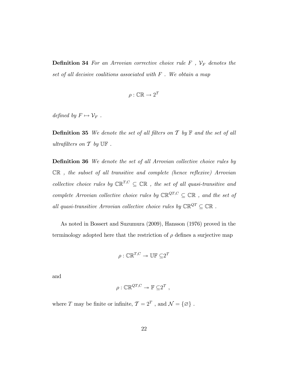**Definition 34** For an Arrovian corrective choice rule  $F$ ,  $V_F$  denotes the set of all decisive coalitions associated with  $F$ . We obtain a map

$$
\rho : \mathbb{CR} \to 2^T
$$

defined by  $F \mapsto \mathcal{V}_F$ .

**Definition 35** We denote the set of all filters on  $\mathcal T$  by  $\mathbb F$  and the set of all ultrafilters on  $T$  by  $\mathbb{UF}$ .

**Definition 36** We denote the set of all Arrovian collective choice rules by  $\mathbb{CR}$ , the subset of all transitive and complete (hence reflexive) Arrovian collective choice rules by  $\mathbb{CR}^{T,C} \subseteq \mathbb{CR}$ , the set of all quasi-transitive and complete Arrovian collective choice rules by  $\mathbb{CR}^{QT,C} \subseteq \mathbb{CR}$ , and the set of all quasi-transitive Arrovian collective choice rules by  $\mathbb{CR}^{QT}\subseteq \mathbb{CR}$  .

As noted in Bossert and Suzumura (2009), Hansson (1976) proved in the terminology adopted here that the restriction of  $\rho$  defines a surjective map

$$
\rho: \mathbb{CR}^{T,C} \twoheadrightarrow \mathbb{UF} \subseteq 2^T
$$

and

$$
\rho : \mathbb{CR}^{QT, C} \twoheadrightarrow \mathbb{F} \subseteq 2^T ,
$$

where T may be finite or infinite,  $\mathcal{T} = 2^T$ , and  $\mathcal{N} = \{ \emptyset \}$ .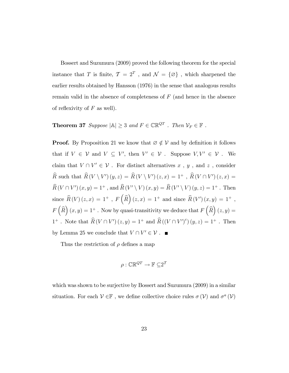Bossert and Suzumura (2009) proved the following theorem for the special instance that T is finite,  $\mathcal{T} = 2^T$ , and  $\mathcal{N} = {\emptyset}$ , which sharpened the earlier results obtained by Hansson (1976) in the sense that analogous results remain valid in the absence of completeness of  $F$  (and hence in the absence of reflexivity of  $F$  as well).

## **Theorem 37** Suppose  $|\mathbb{A}| \geq 3$  and  $F \in \mathbb{CR}^{QT}$  . Then  $V_F \in \mathbb{F}$  .

**Proof.** By Proposition 21 we know that  $\varnothing \notin V$  and by definition it follows that if  $V \in \mathcal{V}$  and  $V \subseteq V'$ , then  $V' \in \mathcal{V}$ . Suppose  $V, V' \in \mathcal{V}$ . We claim that  $V \cap V' \in \mathcal{V}$ . For distinct alternatives  $x$ ,  $y$ , and  $z$ , consider  $\hat{R}$  such that  $\hat{R}(V \setminus V')(y, z) = \hat{R}(V \setminus V')(z, x) = 1^+$ ,  $\hat{R}(V \cap V')(z, x) =$  $\hat{R}(V \cap V') (x, y) = 1^+$ , and  $\hat{R}(V' \setminus V) (x, y) = \hat{R}(V' \setminus V) (y, z) = 1^+$ . Then since  $\widehat{R}(V)(z, x) = 1^+$ ,  $F(\widehat{R})(z, x) = 1^+$  and since  $\widehat{R}(V')(x, y) = 1^+$ ,  $F\left(\widehat{R}\right)(x,y) = 1^+$ . Now by quasi-transitivity we deduce that  $F\left(\widehat{R}\right)(z,y) =$ 1<sup>+</sup>. Note that  $\widehat{R}(V \cap V')(z, y) = 1^+$  and  $\widehat{R}((V \cap V')^c)(y, z) = 1^+$ . Then by Lemma 25 we conclude that  $V \cap V' \in \mathcal{V}$ .

Thus the restriction of  $\rho$  defines a map

$$
\rho : \mathbb{CR}^{QT} \to \mathbb{F} \subseteq 2^T
$$

which was shown to be surjective by Bossert and Suzumura (2009) in a similar situation. For each  $\mathcal{V} \in \mathbb{F}$ , we define collective choice rules  $\sigma(\mathcal{V})$  and  $\sigma^a(\mathcal{V})$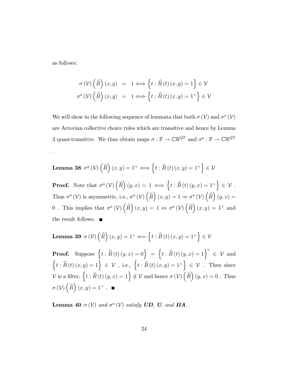as follows:

.

$$
\sigma(\mathcal{V})\left(\widehat{R}\right)(x,y) = 1 \Longleftrightarrow \left\{t : \widehat{R}(t)(x,y) = 1\right\} \in \mathcal{V}
$$

$$
\sigma^{a}(\mathcal{V})\left(\widehat{R}\right)(x,y) = 1 \Longleftrightarrow \left\{t : \widehat{R}(t)(x,y) = 1^{+}\right\} \in \mathcal{V}
$$

We will show in the following sequence of lemmata that both  $\sigma(\mathcal{V})$  and  $\sigma^a(\mathcal{V})$ are Arrovian collective choice rules which are transitive and hence by Lemma 3 quasi-transitive. We thus obtain maps  $\sigma : \mathbb{F} \to \mathbb{CR}^{QT}$  and  $\sigma^a : \mathbb{F} \to \mathbb{CR}^{QT}$ 

**Lemma 38** 
$$
\sigma^a(\mathcal{V})\left(\widehat{R}\right)(x,y) = 1^+ \Longleftrightarrow \left\{t : \widehat{R}(t)(x,y) = 1^+\right\} \in \mathcal{V}
$$

**Proof.** Note that  $\sigma^a(\mathcal{V})\left(\widehat{R}\right)(y,x) = 1 \Longleftrightarrow \left\{t : \widehat{R}(t)(y,x) = 1^+\right\} \in \mathcal{V}$ . Thus  $\sigma^a(\mathcal{V})$  is asymmetric, i.e.,  $\sigma^a(\mathcal{V})\left(\widehat{R}\right)(x,y) = 1 \Rightarrow \sigma^a(\mathcal{V})\left(\widehat{R}\right)(y,x) =$ 0. This implies that  $\sigma^a(\mathcal{V})\left(\widehat{R}\right)(x,y) = 1 \Leftrightarrow \sigma^a(\mathcal{V})\left(\widehat{R}\right)(x,y) = 1^+$  and the result follows.  $\blacksquare$ 

Lemma 39  $\sigma(\mathcal{V})\left(\widehat{R}\right)(x,y) = 1^+ \Longleftarrow \left\{t : \widehat{R}\left(t\right)(x,y) = 1^+\right\}$  $\in V$ 

**Proof.** Suppose  $\{t : \widehat{R}(t) (y,x) = 0\} = \{t : \widehat{R}(t) (y,x) = 1\}^c \in \mathcal{V}$  and  $\{t : \widehat{R}(t)(x,y) = 1\} \in \mathcal{V}$ , i.e.,  $\{t : \widehat{R}(t)(x,y) = 1^+\} \in \mathcal{V}$ . Then since  $\mathcal V$  is a filter,  $\left\{t : \widehat R\left(t\right) (y,x) = 1\right\} \notin \mathcal V$  and hence  $\sigma\left(\mathcal V\right)\left(\widehat R\right)(y,x) = 0$  . Thus  $\sigma(\mathcal{V})\left(\widehat{R}\right)(x,y) = 1^+$ .

**Lemma 40**  $\sigma(\mathcal{V})$  and  $\sigma^a(\mathcal{V})$  satisfy **UD**, **U**, and **IIA**.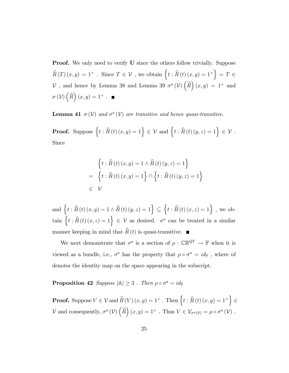**Proof.** We only need to verify **U** since the others follow trivially. Suppose  $\widehat{R}(T)(x,y) = 1^+$ . Since  $T \in \mathcal{V}$ , we obtain  $\{t : \widehat{R}(t)(x,y) = 1^+\} = T \in$  $\mathcal V$ , and hence by Lemma 38 and Lemma 39  $\sigma^a(\mathcal V)\left(\widehat R\right)(x,y) = 1^+$  and  $\sigma(\mathcal{V})\left(\widehat{R}\right)(x,y) = 1^+$ .

**Lemma 41**  $\sigma(\mathcal{V})$  and  $\sigma^a(\mathcal{V})$  are transitive and hence quasi-transitive.

**Proof.** Suppose  $\{t : \widehat{R}(t)(x, y) = 1\} \in \mathcal{V}$  and  $\{t : \widehat{R}(t)(y, z) = 1\} \in \mathcal{V}$ . Since

$$
\begin{aligned} \left\{ t : \widehat{R}(t)(x,y) = 1 \land \widehat{R}(t)(y,z) = 1 \right\} \\ = \left\{ t : \widehat{R}(t)(x,y) = 1 \right\} \cap \left\{ t : \widehat{R}(t)(y,z) = 1 \right\} \\ \in \mathcal{V} \end{aligned}
$$

and  $\{t : \widehat{R}(t) (x, y) = 1 \land \widehat{R}(t) (y, z) = 1\} \subseteq$  $\left\{ t:\widehat{R}\left(t\right)\left(x,z\right)=1\right\}$ , we obtain  $\{t : \widehat{R}(t) (x, z) = 1\} \in V$  as desired.  $\sigma^a$  can be treated in a similar manner keeping in mind that  $\widehat{R}(t)$  is quasi-transitive.

We next demonstrate that  $\sigma^a$  is a section of  $\rho : \mathbb{CR}^{QT} \to \mathbb{F}$  when it is viewed as a bundle, i.e.,  $\sigma^a$  has the property that  $\rho \circ \sigma^a = id_{\mathbb{F}}$ , where  $id$ denotes the identity map on the space appearing in the subscript.

Proposition 42 Suppose  $|\mathbb{A}| \geq 3$ . Then  $\rho \circ \sigma^a = id_{\mathbb{F}}$ 

**Proof.** Suppose  $V \in \mathcal{V}$  and  $\widehat{R}(V) (x, y) = 1^+$ . Then  $\left\{ t : \widehat{R}(t) (x, y) = 1^+ \right\}$  $\epsilon$ V and consequently,  $\sigma^a(\mathcal{V})\left(\widehat{R}\right)(x,y) = 1^+$ . Thus  $V \in \mathcal{V}_{\sigma^a(\mathcal{V})} = \rho \circ \sigma^a(\mathcal{V})$ .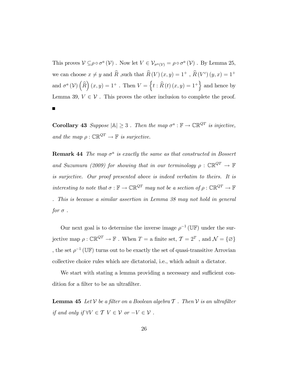This proves  $V \subseteq \rho \circ \sigma^a (V)$ . Now let  $V \in \mathcal{V}_{\sigma^a(V)} = \rho \circ \sigma^a (V)$ . By Lemma 25, we can choose  $x \neq y$  and  $\hat{R}$ , such that  $\hat{R}(V)(x, y) = 1^+$ ,  $\hat{R}(V^c)(y, x) = 1^+$ and  $\sigma^a(\mathcal{V})\left(\widehat{R}\right)(x,y) = 1^+$ . Then  $V = \{t : \widehat{R}(t)(x,y) = 1^+\}$  and hence by Lemma 39,  $V \in \mathcal{V}$ . This proves the other inclusion to complete the proof.

**Corollary 43** Suppose  $|\mathbb{A}| \geq 3$ . Then the map  $\sigma^a : \mathbb{F} \to \mathbb{CR}^{QT}$  is injective, and the map  $\rho: \mathbb{CR}^{QT} \to \mathbb{F}$  is surjective.

**Remark 44** The map  $\sigma^a$  is exactly the same as that constructed in Bossert and Suzumura (2009) for showing that in our terminology  $\rho : \mathbb{CR}^{QT} \to \mathbb{F}$ is surjective. Our proof presented above is indeed verbatim to theirs. It is interesting to note that  $\sigma : \mathbb{F} \to \mathbb{CR}^{QT}$  may not be a section of  $\rho : \mathbb{CR}^{QT} \to \mathbb{F}$ . This is because a similar assertion in Lemma 38 may not hold in general for  $\sigma$ .

Our next goal is to determine the inverse image  $\rho^{-1}(\mathbb{U}\mathbb{F})$  under the surjective map  $\rho : \mathbb{CR}^{QT} \to \mathbb{F}$ . When  $T =$  a finite set,  $\mathcal{T} = 2^T$ , and  $\mathcal{N} = \{ \varnothing \}$ , the set  $\rho^{-1}(\mathbb{U}\mathbb{F})$  turns out to be exactly the set of quasi-transitive Arrovian collective choice rules which are dictatorial, i.e., which admit a dictator.

We start with stating a lemma providing a necessary and sufficient condition for a filter to be an ultrafilter.

**Lemma 45** Let V be a filter on a Boolean algebra  $\mathcal T$  . Then V is an ultrafilter if and only if  $\forall V \in \mathcal{T} \; V \in \mathcal{V} \; or \; -V \in \mathcal{V}$ .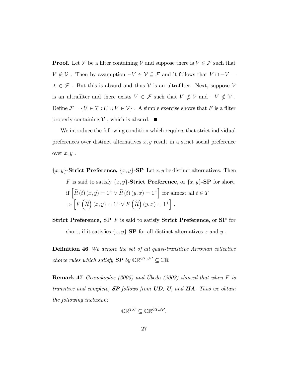**Proof.** Let  $\mathcal F$  be a filter containing  $\mathcal V$  and suppose there is  $V \in \mathcal F$  such that  $V \notin \mathcal{V}$  . Then by assumption  $-V \in \mathcal{V} \subseteq \mathcal{F}$  and it follows that  $V \cap -V = \emptyset$  $\lambda \, \in \, \mathcal{F}$  . But this is absurd and thus  $\mathcal{V}$  is an ultrafilter. Next, suppose  $\mathcal{V}$ is an ultrafilter and there exists  $V\,\in\,\mathcal{F}$  such that  $V\,\notin\,\mathcal{V}$  and  $-V\,\notin\,\mathcal{V}$  . Define  $\mathcal{F} = \{U \in \mathcal{T} : U \cup V \in \mathcal{V}\}$  . A simple exercise shows that  $F$  is a filter properly containing  $V$ , which is absurd.  $\blacksquare$ 

We introduce the following condition which requires that strict individual preferences over distinct alternatives  $x, y$  result in a strict social preference over  $x, y$ .

 ${x, y}$ -Strict Preference,  ${x, y}$ -SP Let x, y be distinct alternatives. Then F is said to satisfy  $\{x, y\}$ -Strict Preference, or  $\{x, y\}$ -SP for short, if  $\left[ \widehat{R}\left( t\right) \left( x,y\right) =1^{+}\vee \widehat{R}\left( t\right) \left( y,x\right) =1^{+}\right]$  for almost all  $t\in \mathcal{I}$  $\Rightarrow$  $\left[ F\left( \widehat{R}\right) \left( x,y\right) =1^{+}\vee F\left( \widehat{R}\right) \left( y,x\right) =1^{+}\right] .$ 

**Strict Preference, SP**  $F$  is said to satisfy **Strict Preference**, or **SP** for short, if it satisfies  $\{x, y\}$ -SP for all distinct alternatives x and y.

**Definition 46** We denote the set of all quasi-transitive Arrovian collective choice rules which satisfy  $\pmb{SP}$  by  $\mathbb{CR}^{QT,SP} \subseteq \mathbb{CR}$ 

**Remark 47** Geanakoplos (2005) and Ubeda (2003) showed that when  $F$  is transitive and complete,  $SP$  follows from  $UD$ ,  $U$ , and  $IIA$ . Thus we obtain the following inclusion:

$$
\mathbb{CR}^{T,C} \subseteq \mathbb{CR}^{QT,SP}.
$$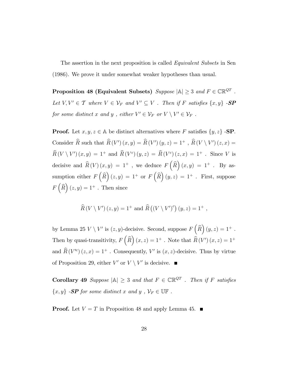The assertion in the next proposition is called *Equivalent Subsets* in Sen (1986). We prove it under somewhat weaker hypotheses than usual.

Proposition 48 (Equivalent Subsets)  $\textit{Suppose } |A| \geq 3 \textit{ and } F \in \mathbb{CR}^{QT}$ . Let  $V, V' \in \mathcal{T}$  where  $V \in \mathcal{V}_F$  and  $V' \subseteq V$ . Then if F satisfies  $\{x, y\}$  -**SP** for some distinct x and y, either  $V' \in \mathcal{V}_F$  or  $V \setminus V' \in \mathcal{V}_F$ .

**Proof.** Let  $x, y, z \in A$  be distinct alternatives where F satisfies  $\{y, z\}$  -**SP**. Consider  $\hat{R}$  such that  $\hat{R}(V')(x, y) = \hat{R}(V')(y, z) = 1^+$ ,  $\hat{R}(V \setminus V')(z, x) =$  $\hat{R}(V \setminus V')(x,y) = 1^+$  and  $\hat{R}(V^c)(y,z) = \hat{R}(V^c)(z,x) = 1^+$ . Since V is decisive and  $\widehat{R}(V)(x,y) = 1^+$ , we deduce  $F(\widehat{R})(x,y) = 1^+$ . By assumption either  $F\left(\widehat{R}\right)(z, y) = 1^+$  or  $F\left(\widehat{R}\right)(y, z) = 1^+$  . First, suppose  $F\left(\widehat{R}\right)(z, y) = 1^+$ . Then since

$$
\widehat{R}(V \setminus V') (z, y) = 1^+ \text{ and } \widehat{R} ((V \setminus V')^c) (y, z) = 1^+ ,
$$

by Lemma 25  $V \setminus V'$  is  $(z, y)$ -decisive. Second, suppose  $F\left(\widehat{R}\right)(y, z) = 1^+$ . Then by quasi-transitivity,  $F\left(\widehat{R}\right)(x,z) = 1^+$  . Note that  $\widehat{R}(V')(x,z) = 1^+$ and  $\hat{R}(V'^c)(z, x) = 1^+$ . Consequently, V' is  $(x, z)$ -decisive. Thus by virtue of Proposition 29, either  $V'$  or  $V \setminus V'$  is decisive.

**Corollary 49** Suppose  $|\mathbb{A}| \geq 3$  and that  $F \in \mathbb{CR}^{QT}$ . Then if F satisfies  $\{x,y\}$  -SP for some distinct  $x$  and  $y$  ,  $\mathcal{V}_F \in \mathbb{UF}$  .

**Proof.** Let  $V = T$  in Proposition 48 and apply Lemma 45.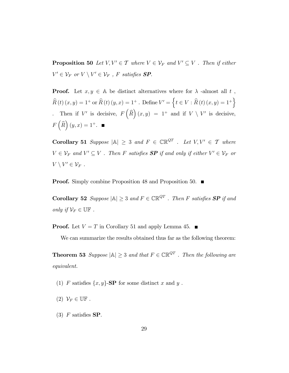**Proposition 50** Let  $V, V' \in \mathcal{T}$  where  $V \in \mathcal{V}_F$  and  $V' \subseteq V$ . Then if either  $V' \in \mathcal{V}_F$  or  $V \setminus V' \in \mathcal{V}_F$ , F satisfies **SP**.

**Proof.** Let  $x, y \in A$  be distinct alternatives where for  $\lambda$  -almost all t,  $\widehat{R}(t)(x, y) = 1^+$  or  $\widehat{R}(t)(y, x) = 1^+$ . Define  $V' = \{t \in V : \widehat{R}(t)(x, y) = 1^+\}$ Then if V' is decisive,  $F\left(\widehat{R}\right)(x,y) = 1^+$  and if  $V \setminus V'$  is decisive,  $F\left(\widehat{R}\right)(y,x) = 1^+.$ 

**Corollary 51** Suppose  $|A| \geq 3$  and  $F \in \mathbb{CR}^{QT}$  . Let  $V, V' \in T$  where  $V \in \mathcal{V}_F$  and  $V' \subseteq V$ . Then F satisfies  $\mathbf{SP}$  if and only if either  $V' \in \mathcal{V}_F$  or  $V \setminus V' \in \mathcal{V}_F$ .

**Proof.** Simply combine Proposition 48 and Proposition 50. ■

**Corollary 52** Suppose  $|\mathbb{A}| \geq 3$  and  $F \in \mathbb{CR}^{QT}$  . Then F satisfies **SP** if and only if  $\mathcal{V}_F \in \mathbb{UF}$ .

**Proof.** Let  $V = T$  in Corollary 51 and apply Lemma 45.

We can summarize the results obtained thus far as the following theorem:

**Theorem 53** Suppose  $|\mathbb{A}| \geq 3$  and that  $F \in \mathbb{CR}^{QT}$  . Then the following are equivalent.

- (1) F satisfies  $\{x, y\}$ -SP for some distinct x and y.
- (2)  $\mathcal{V}_F \in \mathbb{UF}$ .
- (3)  $F$  satisfies SP.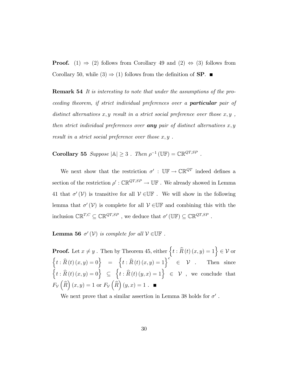**Proof.** (1)  $\Rightarrow$  (2) follows from Corollary 49 and (2)  $\Rightarrow$  (3) follows from Corollary 50, while  $(3) \Rightarrow (1)$  follows from the definition of **SP**.

Remark 54 It is interesting to note that under the assumptions of the proceeding theorem, if strict individual preferences over a particular pair of distinct alternatives x, y result in a strict social preference over those  $x, y$ , then strict individual preferences over **any** pair of distinct alternatives  $x, y$ result in a strict social preference over those  $x, y$ .

Corollary 55 Suppose  $|\mathbb{A}| \geq 3$ . Then  $\rho^{-1}(\mathbb{U}\mathbb{F}) = \mathbb{CR}^{QT,SP}$ .

We next show that the restriction  $\sigma'$ :  $\mathbb{UF} \to \mathbb{CR}^{QT}$  indeed defines a section of the restriction  $\rho' : \mathbb{CR}^{QT,SP} \to \mathbb{UF}$ . We already showed in Lemma 41 that  $\sigma'(\mathcal{V})$  is transitive for all  $\mathcal{V} \in \mathbb{UF}$ . We will show in the following lemma that  $\sigma'(\mathcal{V})$  is complete for all  $\mathcal{V} \in \mathbb{UF}$  and combining this with the inclusion  $\mathbb{CR}^{T,C} \subseteq \mathbb{CR}^{QT,SP}$ , we deduce that  $\sigma'(\mathbb{UF}) \subseteq \mathbb{CR}^{QT,SP}$ .

**Lemma 56**  $\sigma'(\mathcal{V})$  is complete for all  $\mathcal{V} \in \mathbb{UF}$ .

**Proof.** Let  $x \neq y$ . Then by Theorem 45, either  $\left\{ t : \widehat{R}(t) (x, y) = 1 \right\} \in \mathcal{V}$  or  $\{t : \widehat{R}(t) (x, y) = 0\}$  =  $\{t : \widehat{R}(t) (x, y) = 1\}^c$   $\in \mathcal{V}$ . Then since  $\left\{ t:\widehat{R}\left(t\right)\left(x,y\right)=0\right\} \subseteq$  $\left\{ t:\widehat{R}\left(t\right)\left(y,x\right)=1\right\}$   $\in\mathcal{V}$ , we conclude that  $F_{\mathcal{V}}\left(\widehat{R}\right)(x,y) = 1$  or  $F_{\mathcal{V}}\left(\widehat{R}\right)(y,x) = 1$ .

We next prove that a similar assertion in Lemma 38 holds for  $\sigma'$ .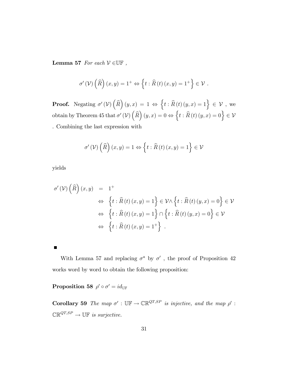Lemma 57 For each  $V \in \mathbb{UF}$ ,

$$
\sigma'(\mathcal{V})\left(\widehat{R}\right)(x,y) = 1^+ \Leftrightarrow \left\{ t : \widehat{R}(t)(x,y) = 1^+ \right\} \in \mathcal{V} .
$$

**Proof.** Negating  $\sigma'(\mathcal{V})\left(\widehat{R}\right)(y,x) = 1 \Leftrightarrow \left\{t : \widehat{R}(t)(y,x) = 1\right\} \in \mathcal{V}$ , we obtain by Theorem 45 that  $\sigma'(\mathcal{V})\left(\widehat{R}\right)(y,x) = 0 \Leftrightarrow \left\{t : \widehat{R}\left(t\right)(y,x) = 0\right\} \in \mathcal{V}$ . Combining the last expression with

$$
\sigma'\left(\mathcal{V}\right)\left(\widehat{R}\right)\left(x,y\right) = 1 \Leftrightarrow \left\{t : \widehat{R}\left(t\right)\left(x,y\right) = 1\right\} \in \mathcal{V}
$$

yields

П

$$
\sigma'(\mathcal{V})\left(\widehat{R}\right)(x,y) = 1^+\
$$
  
\n
$$
\Leftrightarrow \left\{t : \widehat{R}(t)(x,y) = 1\right\} \in \mathcal{V} \setminus \left\{t : \widehat{R}(t)(y,x) = 0\right\} \in \mathcal{V}
$$
  
\n
$$
\Leftrightarrow \left\{t : \widehat{R}(t)(x,y) = 1\right\} \cap \left\{t : \widehat{R}(t)(y,x) = 0\right\} \in \mathcal{V}
$$
  
\n
$$
\Leftrightarrow \left\{t : \widehat{R}(t)(x,y) = 1^+\right\}.
$$

With Lemma 57 and replacing  $\sigma^a$  by  $\sigma'$ , the proof of Proposition 42 works word by word to obtain the following proposition:

Proposition 58  $\rho' \circ \sigma' = id_{\mathbb{U} \mathbb{F}}$ 

**Corollary 59** The map  $\sigma'$ :  $\mathbb{UF} \to \mathbb{CR}^{QT,SP}$  is injective, and the map  $\rho'$ :  $\mathbb{CR}^{QT,SP} \to \mathbb{UF}$  is surjective.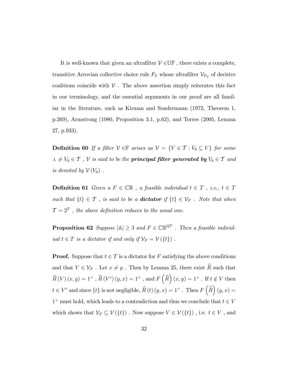It is well-known that given an ultrafilter  $V \in \mathbb{UF}$ , there exists a complete, transitive Arrovian collective choice rule  $F_V$  whose ultrafilter  $\mathcal{V}_{F_V}$  of decisive coalitions coincide with  $V$ . The above assertion simply reiterates this fact in our terminology, and the essential arguments in our proof are all familiar in the literature, such as Kirman and Sondermann (1972, Theorem 1, p.269), Armstrong (1980, Proposition 3.1, p.62), and Torres (2005, Lemma 27, p.933).

**Definition 60** If a filter  $V \in \mathbb{F}$  arises as  $V = \{V \in \mathcal{T} : V_0 \subseteq V\}$  for some  $f \wedge f \neq V_0 \in \mathcal{T}$ ,  $\mathcal{V}$  is said to be the **principal filter generated by**  $V_0 \in \mathcal{T}$  and is denoted by  $\mathcal{V}(V_0)$ .

**Definition 61** Given a  $F \in \mathbb{CR}$  , a feasible individual  $t \in T$  , i.e.,  $t \in T$ such that  $\{t\} \in \mathcal{T}$ , is said to be a **dictator** if  $\{t\} \in \mathcal{V}_F$ . Note that when  $\mathcal{T}=2^T$ , the above definition reduces to the usual one.

**Proposition 62** Suppose  $|\mathbb{A}| \geq 3$  and  $F \in \mathbb{CR}^{QT}$ . Then a feasible individual  $t \in T$  is a dictator if and only if  $\mathcal{V}_F = \mathcal{V}(\lbrace t \rbrace)$ .

**Proof.** Suppose that  $t \in T$  is a dictator for F satisfying the above conditions and that  $V \in \mathcal{V}_F$ . Let  $x \neq y$ . Then by Lemma 25, there exist  $\widehat{R}$  such that  $\widehat{R}\left(V\right)\left(x,y\right) = 1^+$  ,  $\widehat{R}\left(V^c\right)\left(y,x\right) = 1^+$  , and  $F\left(\widehat{R}\right)\left(x,y\right) = 1^+$  . If  $t \notin V$  then  $t \in V^c$  and since  $\{t\}$  is not negligible,  $\widehat{R}(t) (y, x) = 1^+$ . Then  $F(\widehat{R})(y, x) =$  $1^+$  must hold, which leads to a contradiction and thus we conclude that  $t \in V$ which shows that  $\mathcal{V}_F \subseteq \mathcal{V}(\{t\})$  . Now suppose  $V \in \mathcal{V}(\{t\})$  , i.e.  $t \in V$  , and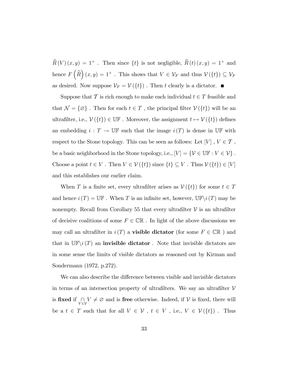$\widehat{R}\left(V \right) (x,y)$  =  $1^+$  . Then since  $\{t\}$  is not negligible,  $\widehat{R}\left(t\right) (x,y)$  =  $1^+$  and hence  $F\left(\widehat{R}\right)(x,y) = 1^+$ . This shows that  $V \in \mathcal{V}_F$  and thus  $\mathcal{V}(\lbrace t \rbrace) \subseteq \mathcal{V}_F$ as desired. Now suppose  $\mathcal{V}_F = \mathcal{V}(\{t\})$ . Then t clearly is a dictator.

Suppose that T is rich enough to make each individual  $t \in T$  feasible and that  $\mathcal{N} = \{ \varnothing \}$ . Then for each  $t \in T$ , the principal filter  $\mathcal{V}(\{t\})$  will be an ultrafilter, i.e.,  $\mathcal{V}(\{t\}) \in \mathbb{UF}$  . Moreover, the assignment  $t \mapsto \mathcal{V}(\{t\})$  defines an embedding  $i : T \to \mathbb{U} \mathbb{F}$  such that the image  $i(T)$  is dense in  $\mathbb{U} \mathbb{F}$  with respect to the Stone topology. This can be seen as follows: Let  $[V]$  ,  $V\in\mathcal{T}$  , be a basic neighborhood in the Stone topology, i.e.,  $[V]=\{\mathcal{V}\in\mathbb{UF}: V\in\mathcal{V}\}$  . Choose a point  $t \in V$ . Then  $V \in \mathcal{V}(\{t\})$  since  $\{t\} \subseteq V$ . Thus  $\mathcal{V}(\{t\}) \in [V]$ and this establishes our earlier claim.

When T is a finite set, every ultrafilter arises as  $V(\lbrace t \rbrace)$  for some  $t \in T$ and hence  $i(T) = \mathbb{U}\mathbb{F}$ . When T is an infinite set, however,  $\mathbb{U}\mathbb{F}\setminus i(T)$  may be nonempty. Recall from Corollary 55 that every ultrafilter  $\mathcal V$  is an ultrafilter of decisive coalitions of some  $F \in \mathbb{CR}$ . In light of the above discussions we may call an ultrafilter in  $i(T)$  a **visible dictator** (for some  $F \in \mathbb{CR}$  ) and that in  $\mathbb{UF}\setminus i(T)$  an **invisible dictator**. Note that invisible dictators are in some sense the limits of visible dictators as reasoned out by Kirman and Sondermann (1972, p.272).

We can also describe the difference between visible and invisible dictators in terms of an intersection property of ultrafilters. We say an ultrafilter  $V$ is fixed if  $\bigcap_{V \in \mathcal{V}} V \neq \emptyset$  and is free otherwise. Indeed, if  $\mathcal{V}$  is fixed, there will be a  $t \in T$  such that for all  $V \in \mathcal{V}$ ,  $t \in V$ , i.e.,  $V \in \mathcal{V}(\{t\})$ . Thus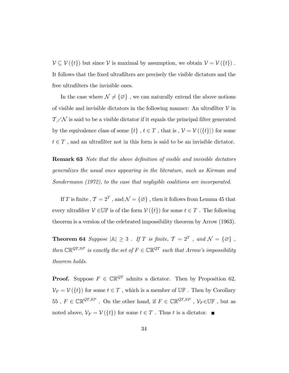$\mathcal{V} \subseteq \mathcal{V}(\{t\})$  but since  $\mathcal{V}$  is maximal by assumption, we obtain  $\mathcal{V} = \mathcal{V}(\{t\})$  . It follows that the fixed ultrafilters are precisely the visible dictators and the free ultrafilters the invisible ones.

In the case where  $\mathcal{N} \neq \{\varnothing\}$  , we can naturally extend the above notions of visible and invisible dictators in the following manner: An ultrafilter  $V$  in  $T/N$  is said to be a visible dictator if it equals the principal filter generated by the equivalence class of some  $\{t\}$ ,  $t \in T$ , that is,  $\mathcal{V} = \mathcal{V}(\langle \{t\} \rangle)$  for some  $t \in T$ , and an ultrafilter not in this form is said to be an invisible dictator.

**Remark 63** Note that the above definition of visible and invisible dictators generalizes the usual ones appearing in the literature, such as Kirman and Sondermann (1972), to the case that negligible coalitions are incorporated.

If  $T$  is finite ,  $\mathcal{T} = 2^T$  , and  $\mathcal{N} = \{ \varnothing \}$  , then it follows from Lemma 45 that every ultrafilter  $V \in \mathbb{UF}$  is of the form  $V(\lbrace t \rbrace)$  for some  $t \in T$ . The following theorem is a version of the celebrated impossibility theorem by Arrow (1963).

**Theorem 64** Suppose  $|\mathbb{A}| \geq 3$ . If T is finite,  $\mathcal{T} = 2^T$ , and  $\mathcal{N} = {\emptyset}$ , then  $\mathbb{CR}^{QT,SP}$  is exactly the set of  $F \in \mathbb{CR}^{QT}$  such that Arrow's impossibility theorem holds.

**Proof.** Suppose  $F \in \mathbb{CR}^{QT}$  admits a dictator. Then by Proposition 62,  $\mathcal{V}_F = \mathcal{V}(\{t\})$  for some  $t \in T$ , which is a member of  $\mathbb{U} \mathbb{F}$ . Then by Corollary 55,  $F \in \mathbb{CR}^{QT,SP}$ . On the other hand, if  $F \in \mathbb{CR}^{QT,SP}$ ,  $\mathcal{V}_F \in \mathbb{UF}$ , but as noted above,  $\mathcal{V}_F = \mathcal{V}(\{t\})$  for some  $t \in T$ . Thus t is a dictator.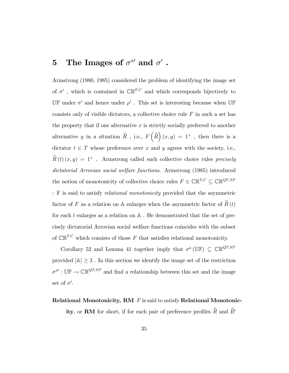## 5 The Images of  $\sigma^{a}$  and  $\sigma'$  .

Armstrong (1980, 1985) considered the problem of identifying the image set of  $\sigma'$ , which is contained in  $\mathbb{CR}^{T,C}$  and which corresponds bijectively to UF under  $\sigma'$  and hence under  $\rho'$ . This set is interesting because when UF consists only of visible dictators, a collective choice rule  $F$  in such a set has the property that if one alternative  $x$  is strictly socially preferred to another alternative y in a situation  $\widehat{R}$ , i.e.,  $F\left(\widehat{R}\right)(x,y) = 1^+$ , then there is a dictator  $t \in T$  whose preference over x and y agrees with the society, i.e.,  $\widehat{R}(t) (x, y) = 1^+$ . Armstrong called such collective choice rules precisely dictatorial Arrovian social welfare functions. Armstrong (1985) introduced the notion of monotonicity of collective choice rules  $F\in\mathbb{CR}^{T,C}\subseteq\mathbb{CR}^{QT,SP}$ : F is said to satisfy relational monotonicity provided that the asymmetric factor of  $F$  as a relation on  $\mathbb A$  enlarges when the asymmetric factor of  $\widehat R\left( t\right)$ for each  $t$  enlarges as a relation on  $A$ . He demonstrated that the set of precisely dictatorial Arrovian social welfare functions coincides with the subset of  $\mathbb{CR}^{T,C}$  which consists of those  $F$  that satisfies relational monotonicity.

Corollary 52 and Lemma 41 together imply that  $\sigma^a(\mathbb{U}\mathbb{F}) \subseteq \mathbb{CR}^{QT,SP}$ provided  $|\mathbb{A}| \geq 3$  . In this section we identify the image set of the restriction  $\sigma^{a'} : \mathbb{UF} \to \mathbb{CR}^{QT,SP}$  and find a relationship between this set and the image set of  $\sigma'$ .

#### Relational Monotonicity, RM F is said to satisfy Relational Monotonic-

ity, or RM for short, if for each pair of preference profiles  $\widehat{R}$  and  $\widehat{R}$ <sup>'</sup>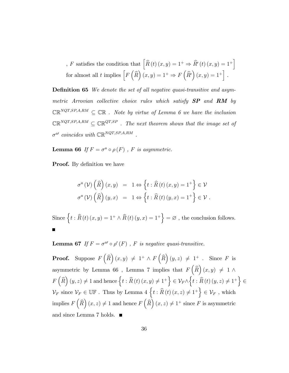, F satisfies the condition that  $\left[ \widehat{R}\left( t\right) \left( x,y\right) =1^{+}\Rightarrow\widehat{R}^{\prime}\left( t\right) \left( x,y\right) =1^{+}\right]$ for almost all t implies  $\left[ F\left( \widehat{R}\right) (x,y) =1^{+} \Rightarrow F\left( \widehat{R^{\prime}}\right) (x,y) =1^{+}\right]$ .

**Definition 65** We denote the set of all negative quasi-transitive and asymmetric Arrovian collective choice rules which satisfy  $SP$  and  $RM$  by  $\mathbb{CR}^{NQT,SP,A,RM} \subseteq \mathbb{CR}$ . Note by virtue of Lemma 6 we have the inclusion  $\mathbb{CR}^{NQT,SP,A,RM} \subseteq \mathbb{CR}^{QT,SP}$ . The next theorem shows that the image set of  $\sigma^{a}$  coincides with  $\mathbb{CR}^{NQT,SP,A,RM}$ .

**Lemma 66** If  $F = \sigma^a \circ \rho(F)$ , F is asymmetric.

**Proof.** By definition we have

$$
\sigma^{a}(\mathcal{V})\left(\widehat{R}\right)(x,y) = 1 \Leftrightarrow \left\{t : \widehat{R}(t)(x,y) = 1^{+}\right\} \in \mathcal{V}
$$
  

$$
\sigma^{a}(\mathcal{V})\left(\widehat{R}\right)(y,x) = 1 \Leftrightarrow \left\{t : \widehat{R}(t)(y,x) = 1^{+}\right\} \in \mathcal{V}.
$$

Since  $\{t : \widehat{R}(t) (x, y) = 1^+ \wedge \widehat{R}(t) (y, x) = 1^+\} = \varnothing$ , the conclusion follows.

**Lemma 67** If  $F = \sigma^{a} \circ \rho'(F)$ , F is negative quasi-transitive.

**Proof.** Suppose  $F\left(\widehat{R}\right)(x, y) \neq 1^+ \wedge F\left(\widehat{R}\right)(y, z) \neq 1^+$ . Since F is asymmetric by Lemma 66, Lemma 7 implies that  $F\left(\widehat{R}\right)(x, y) \neq 1 \land$  $F\left(\widehat{R}\right)\left(y,z\right)\neq1$  and hence  $\left\{ t:\widehat{R}\left(t\right)\left(x,y\right)\neq1^{+}\right\}$  $\in V_F \wedge$  $\left\{ t:\widehat{R}\left(t\right)\left(y,z\right)\neq1^{+}\right\}$  $\epsilon$  $\mathcal{V}_F$  since  $\mathcal{V}_F \in \mathbb{UF}$ . Thus by Lemma 4  $\{t : \widehat{R}(t) (x, z) \neq 1^+\} \in \mathcal{V}_F$ , which implies  $F\left(\widehat{R}\right)(x, z) \neq 1$  and hence  $F\left(\widehat{R}\right)(x, z) \neq 1^+$  since  $F$  is asymmetric and since Lemma 7 holds.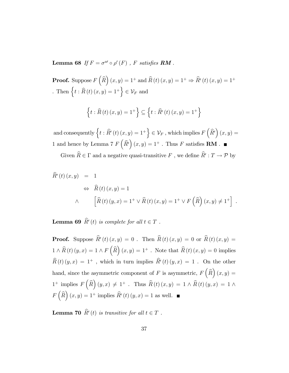**Lemma 68** If  $F = \sigma^{a} \circ \rho'(F)$ , F satisfies **RM**.

**Proof.** Suppose  $F\left(\widehat{R}\right)(x, y) = 1^+$  and  $\widehat{R}\left(t\right)(x, y) = 1^+ \Rightarrow \widehat{R}'\left(t\right)(x, y) = 1^+$ . Then  $\left\{ t : \widehat{R}(t) (x, y) = 1^+ \right\} \in \mathcal{V}_F$  and

$$
\{t : \widehat{R}(t)(x, y) = 1^+\} \subseteq \{t : \widehat{R}'(t)(x, y) = 1^+\}
$$

and consequently  $\Big\{ t : \widehat{R}'\left(t\right)(x,y) = 1^+ \Big\} \in \mathcal{V}_F$  , which implies  $F\left(\widehat{R}'\right)(x,y) = 1^+ \Big\}$ 1 and hence by Lemma 7  $F\left(\widehat{R}'\right)(x, y) = 1^+$ . Thus F satisfies **RM**.

Given  $R \in \Gamma$  and a negative quasi-transitive F, we define  $R': T \to \mathcal{P}$  by

$$
\widehat{R}'(t)(x,y) = 1
$$
  
\n
$$
\Leftrightarrow \widehat{R}(t)(x,y) = 1
$$
  
\n
$$
\wedge \qquad \left[ \widehat{R}(t)(y,x) = 1^+ \vee \widehat{R}(t)(x,y) = 1^+ \vee F(\widehat{R})(x,y) \neq 1^+ \right].
$$

**Lemma 69**  $R'(t)$  is complete for all  $t \in T$ .

**Proof.** Suppose  $R'(t)(x, y) = 0$ . Then  $R(t)(x, y) = 0$  or  $R(t)(x, y) = 0$  $1 \wedge \widehat{R}(t) (y, x) = 1 \wedge F(\widehat{R})(x, y) = 1^+$ . Note that  $\widehat{R}(t) (x, y) = 0$  implies  $\hat{R}(t)(y, x) = 1^+$ , which in turn implies  $\hat{R}'(t)(y, x) = 1$ . On the other hand, since the asymmetric component of F is asymmetric,  $F\left(\widehat{R}\right)(x,y) =$  $1^+$  implies  $F(\widehat{R})(y,x) \neq 1^+$ . Thus  $\widehat{R}(t)(x,y) = 1 \wedge \widehat{R}(t)(y,x) = 1 \wedge \widehat{R}(t)$  $F\left(\widehat{R}\right)(x, y) = 1^+$  implies  $\widehat{R}'(t)(y, x) = 1$  as well.

**Lemma 70**  $R'(t)$  is transitive for all  $t \in T$ .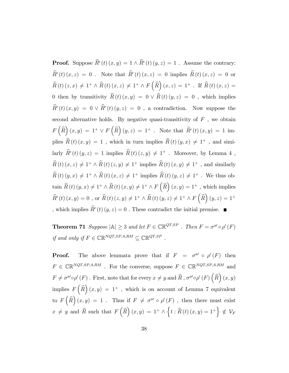**Proof.** Suppose  $R'(t)(x, y) = 1 \wedge R'(t)(y, z) = 1$ . Assume the contrary:  $R'(t)(x, z) = 0$ . Note that  $R'(t)(x, z) = 0$  implies  $R(t)(x, z) = 0$  or  $\widehat{R}(t)\,(z, x) \, \neq \, 1^+ \wedge \widehat{R}(t)\,(x, z) \, \neq \, 1^+ \wedge F\left(\widehat{R}\right)(x, z) \, = \, 1^+ \,\, . \,\, \text{ If } \, \widehat{R}(t)\,(x, z) \, = \,$ 0 then by transitivity  $\widehat{R}(t) (x, y) = 0 \vee \widehat{R}(t) (y, z) = 0$ , which implies  $R'(t)(x, y) = 0 \lor R'(t)(y, z) = 0$ , a contradiction. Now suppose the second alternative holds. By negative quasi-transitivity of  $F$ , we obtain  $F\left(\widehat{R}\right)(x,y) = 1^+ \vee F\left(\widehat{R}\right)(y,z) = 1^+$ . Note that  $\widehat{R}'(t)(x,y) = 1$  implies  $\widehat{R}(t) (x, y) = 1$ , which in turn implies  $\widehat{R}(t) (y, x) \neq 1^+$ , and similarly  $\hat{R}'(t)(y, z) = 1$  implies  $\hat{R}(t)(z, y) \neq 1^+$ . Moreover, by Lemma 4,  $\widehat{R}(t)$   $(x, z) \neq 1^+ \wedge \widehat{R}(t)$   $(z, y) \neq 1^+$  implies  $\widehat{R}(t)$   $(x, y) \neq 1^+$ , and similarly  $\widehat{R}(t) (y, x) \neq 1^+ \wedge \widehat{R}(t) (x, z) \neq 1^+$  implies  $\widehat{R}(t) (y, z) \neq 1^+$ . We thus obtain  $\widehat{R}(t)(y, x) \neq 1^+ \wedge \widehat{R}(t)(x, y) \neq 1^+ \wedge F(\widehat{R})(x, y) = 1^+$ , which implies  $\widehat{R}'(t)(x, y) = 0$ , or  $\widehat{R}(t)(z, y) \neq 1^+ \wedge \widehat{R}(t)(y, z) \neq 1^+ \wedge F(\widehat{R})(y, z) = 1^+$ , which implies  $R'(t)(y, z) = 0$ . These contradict the initial premise.

**Theorem 71** Suppose  $|\mathbb{A}| \geq 3$  and let  $F \in \mathbb{CR}^{QT,SP}$  . Then  $F = \sigma^{a} \circ \rho'(F)$ if and only if  $F \in \mathbb{CR}^{NQT,SP,A,RM} \subseteq \mathbb{CR}^{QT,SP}$ .

**Proof.** The above lemmata prove that if  $F = \sigma^{a} \circ \rho'(F)$  then  $F \in \mathbb{CR}^{NQT,SP,A,RM}$  . For the converse, suppose  $F \in \mathbb{CR}^{NQT,SP,A,RM}$  and  $F \neq \sigma^{a\prime} \circ \rho' (F)$  . First, note that for every  $x \neq y$  and  $\widehat{R}$  ,  $\sigma^{a\prime} \circ \rho' (F) (\widehat{R}) (x, y)$ implies  $F\left(\widehat{R}\right)(x,y) = 1^+$ , which is on account of Lemma 7 equivalent to  $F\left(\widehat{R}\right)(x,y) = 1$ . Thus if  $F \neq \sigma^{a} \circ \rho'(F)$ , then there must exist  $x \neq y$  and  $\widehat{R}$  such that  $F\left(\widehat{R}\right)(x, y) = 1^+ \wedge \left\{t : \widehat{R}\left(t\right)(x, y) = 1^+\right\} \notin \mathcal{V}_F$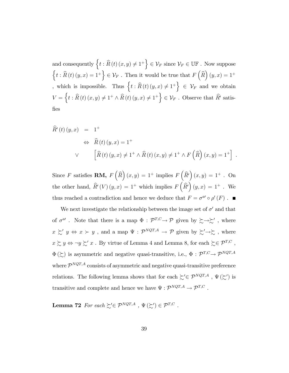and consequently  $\{t : \widehat{R}(t) (x, y) \neq 1^+\} \in \mathcal{V}_F$  since  $\mathcal{V}_F \in \mathbb{U} \mathbb{F}$ . Now suppose  $\left\{t : \widehat{R}(t) (y, x) = 1^+\right\} \in \mathcal{V}_F$ . Then it would be true that  $F\left(\widehat{R}\right)(y, x) = 1^+$ which is impossible. Thus  $\{t : \widehat{R}(t) (y, x) \neq 1^+\} \in \mathcal{V}_F$  and we obtain  $V = \{t : \widehat{R}(t) (x, y) \neq 1^+ \wedge \widehat{R}(t) (y, x) \neq 1^+\} \in \mathcal{V}_F$ . Observe that  $\widehat{R}'$  satis-Öes

$$
\widehat{R}'(t)(y,x) = 1^+\n\Leftrightarrow \widehat{R}(t)(y,x) = 1^+\n\Leftrightarrow \widehat{R}(t)(y,x) \neq 1^+\land \widehat{R}(t)(x,y) \neq 1^+\land F(\widehat{R})(x,y) = 1^+\n\end{aligned}
$$

Since F satisfies **RM,**  $F\left(\widehat{R}\right)(x,y) = 1^+$  implies  $F\left(\widehat{R'}\right)(x,y) = 1^+$ . On the other hand,  $\widehat{R}'(V)(y, x) = 1^+$  which implies  $F(\widehat{R}')(y, x) = 1^+$ . We thus reached a contradiction and hence we deduce that  $F = \sigma^{a} \circ \rho'(F)$ .

We next investigate the relationship between the image set of  $\sigma'$  and that of  $\sigma^{a}$ . Note that there is a map  $\Phi : \mathcal{P}^{T,C} \to \mathcal{P}$  given by  $\succsim \rightarrow \succeq'$ , where  $x \succsim' y \Leftrightarrow x \succ y$ , and a map  $\Psi : \mathcal{P}^{NQT,A} \to \mathcal{P}$  given by  $\succsim' \to \succeq$ , where  $x \succsim y \Leftrightarrow \neg y \succsim' x$  . By virtue of Lemma 4 and Lemma 8, for each  $\succsim \in \mathcal{P}^{T,C}$  ,  $\Phi(\gtrsim)$  is asymmetric and negative quasi-transitive, i.e.,  $\Phi : \mathcal{P}^{T,C} \to \mathcal{P}^{NQT,A}$ where  $\mathcal{P}^{NQT,A}$  consists of asymmetric and negative quasi-transitive preference relations. The following lemma shows that for each  $\gtrsim \in \mathcal{P}^{NQT,A}$  ,  $\Psi(\gtrsim')$  is transitive and complete and hence we have  $\Psi : \mathcal{P}^{NQT,A} \to \mathcal{P}^{T,C}$ .

**Lemma 72** For each  $\succsim' \in \mathcal{P}^{NQT,A}$  ,  $\Psi(\succsim') \in \mathcal{P}^{T,C}$  .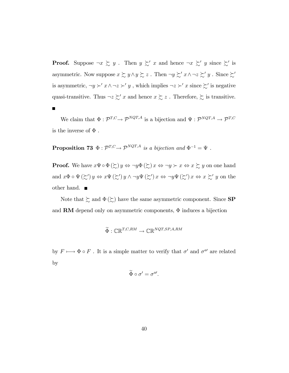**Proof.** Suppose  $\neg x \succsim y$ . Then  $y \succsim' x$  and hence  $\neg x \succsim' y$  since  $\succsim'$  is asymmetric. Now suppose  $x \succsim y \land y \succsim z$ . Then  $\neg y \succsim' x \land \neg z \succsim' y$ . Since  $\succsim'$ is asymmetric,  $\neg y \succ' x \land \neg z \succ' y$ , which implies  $\neg z \succ' x$  since  $\succ'$  is negative quasi-transitive. Thus  $\neg z \succsim' x$  and hence  $x \succsim z$ . Therefore,  $\succsim$  is transitive.  $\blacksquare$ 

We claim that  $\Phi: \mathcal{P}^{T,C} \to \mathcal{P}^{NQT,A}$  is a bijection and  $\Psi: \mathcal{P}^{NQT,A} \to \mathcal{P}^{T,C}$ is the inverse of  $\Phi$  .

**Proposition 73**  $\Phi : \mathcal{P}^{T,C} \to \mathcal{P}^{NQT,A}$  is a bijection and  $\Phi^{-1} = \Psi$ .

**Proof.** We have  $x \Psi \circ \Phi(\succsim y)$   $y \Leftrightarrow \neg y \Phi(\succsim)$   $x \Leftrightarrow \neg y \succ x \Leftrightarrow x \succsim y$  on one hand and  $x\Phi \circ \Psi(\succsim') y \Leftrightarrow x\Psi(\succsim') y \wedge \neg y\Psi(\succsim') x \Leftrightarrow \neg y\Psi(\succsim') x \Leftrightarrow x \succsim' y$  on the other hand. ■

Note that  $\succsim$  and  $\Phi(\succsim)$  have the same asymmetric component. Since SP and RM depend only on asymmetric components,  $\Phi$  induces a bijection

$$
\widetilde{\Phi}: \mathbb{CR}^{T,C,RM} \to \mathbb{CR}^{NQT,SP,A,RM}
$$

by  $F \longmapsto \Phi \circ F$ . It is a simple matter to verify that  $\sigma'$  and  $\sigma^{a'}$  are related by

$$
\widetilde{\Phi}\circ \sigma'=\sigma^{a'}.
$$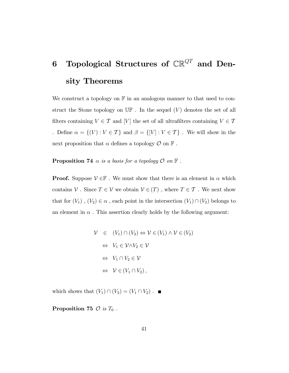## 6 Topological Structures of  $\mathbb{CR}^{QT}$  and Density Theorems

We construct a topology on  $\mathbb F$  in an analogous manner to that used to construct the Stone topology on  $\mathbb{U} \mathbb{F}$ . In the sequel  $(V)$  denotes the set of all filters containing  $V\in\mathcal{T}$  and  $[V]$  the set of all ultrafilters containing  $V\in\mathcal{T}$ . Define  $\alpha = \{(V): V \in \mathcal{T}\}$  and  $\beta = \{[V]: V \in \mathcal{T}\}$  . We will show in the next proposition that  $\alpha$  defines a topology  $\mathcal O$  on  $\mathbb F$ .

**Proposition 74**  $\alpha$  is a basis for a topology  $\mathcal{O}$  on  $\mathbb{F}$ .

**Proof.** Suppose  $V \in \mathbb{F}$ . We must show that there is an element in  $\alpha$  which contains  $\mathcal V$  . Since  $T \in \mathcal V$  we obtain  $\mathcal V \in (T)$  , where  $T \in \mathcal T$  . We next show that for  $(V_1)$ ,  $(V_2) \in \alpha$ , each point in the intersection  $(V_1) \cap (V_2)$  belongs to an element in  $\alpha$ . This assertion clearly holds by the following argument:

$$
\mathcal{V} \in (V_1) \cap (V_2) \Leftrightarrow \mathcal{V} \in (V_1) \land \mathcal{V} \in (V_2)
$$
  
\n
$$
\Leftrightarrow V_1 \in \mathcal{V} \land V_2 \in \mathcal{V}
$$
  
\n
$$
\Leftrightarrow V_1 \cap V_2 \in \mathcal{V}
$$
  
\n
$$
\Leftrightarrow \mathcal{V} \in (V_1 \cap V_2),
$$

which shows that  $(V_1) \cap (V_2) = (V_1 \cap V_2)$ .

Proposition 75  $\mathcal{O}$  is  $T_0$ .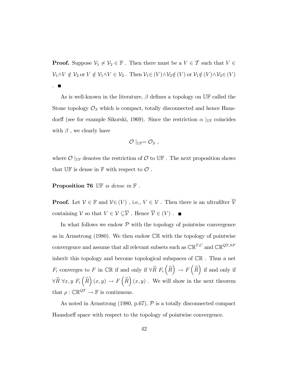**Proof.** Suppose  $\mathcal{V}_1 \neq \mathcal{V}_2 \in \mathbb{F}$ . Then there must be a  $V \in \mathcal{T}$  such that  $V \in$  $\mathcal{V}_1\wedge V\notin \mathcal{V}_2$  or  $V\notin \mathcal{V}_1\wedge V\in \mathcal{V}_2$  . Then  $\mathcal{V}_1\in (V) \wedge \mathcal{V}_2\notin (V )$  or  $\mathcal{V}_1\notin (V) \wedge \mathcal{V}_2\in (V )$ .

As is well-known in the literature,  $\beta$  defines a topology on UF called the Stone topology  $\mathcal{O}_S$  which is compact, totally disconnected and hence Hausdorff (see for example Sikorski, 1969). Since the restriction  $\alpha$  |<sub>UF</sub> coincides with  $\beta$ , we clearly have

$$
\mathcal{O}\mid_{\mathbb{U}\mathbb{F}}=\mathcal{O}_S,
$$

where  $\mathcal{O}$  |<sub>UF</sub> denotes the restriction of  $\mathcal{O}$  to UF. The next proposition shows that  $\mathbb{UF}$  is dense in  $\mathbb F$  with respect to  $\mathcal O$ .

#### **Proposition 76** UF is dense in  $\mathbb{F}$ .

**Proof.** Let  $V \in \mathbb{F}$  and  $V \in (V)$ , i.e.,  $V \in V$ . Then there is an ultrafilter  $\overline{V}$ containing  $\mathcal V$  so that  $V\in\mathcal V\subseteq\overline{\mathcal V}$  . Hence  $\overline{\mathcal V}\in(V)$  .  $\blacksquare$ 

In what follows we endow  $P$  with the topology of pointwise convergence as in Armstrong  $(1980)$ . We then endow  $\mathbb{CR}$  with the topology of pointwise convergence and assume that all relevant subsets such as  $\mathbb{CR}^{T,C}$  and  $\mathbb{CR}^{QT,SP}$ inherit this topology and become topological subspaces of CR . Thus a net  $F_i$  converges to F in CR if and only if  $\forall \widehat{R} \ F_i(\widehat{R}) \rightarrow F(\widehat{R})$  if and only if  $\forall \widehat{R} \ \forall x, y \ F_i\left(\widehat{R}\right)(x, y) \rightarrow F\left(\widehat{R}\right)(x, y)$ . We will show in the next theorem that  $\rho : \mathbb{CR}^{QT} \to \mathbb{F}$  is continuous.

As noted in Armstrong (1980, p.67),  $P$  is a totally disconnected compact Hausdorff space with respect to the topology of pointwise convergence.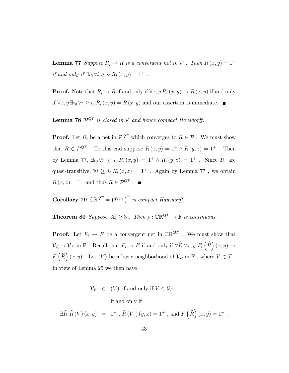**Lemma 77** Suppose  $R_i \to R$  is a convergent net in  $P$ . Then  $R(x, y) = 1^+$ if and only if  $\exists i_0 \forall i \geq i_0 R_i(x, y) = 1^+$ .

**Proof.** Note that  $R_i \to R$  if and only if  $\forall x, y \, R_i(x, y) \to R(x, y)$  if and only if  $\forall x, y \exists i_0 \forall i \geq i_0 R_i(x, y) = R(x, y)$  and our assertion is immediate.

**Lemma 78**  $\mathcal{P}^{QT}$  is closed in  $\mathcal{P}$  and hence compact Hausdorff.

**Proof.** Let  $R_i$  be a net in  $\mathcal{P}^{QT}$  which converges to  $R \in \mathcal{P}$ . We must show that  $R \in \mathcal{P}^{QT}$ . To this end suppose  $R(x, y) = 1^+ \wedge R(y, z) = 1^+$ . Then by Lemma 77,  $\exists i_0 \forall i \geq i_0 R_i(x, y) = 1^+ \wedge R_i(y, z) = 1^+$ . Since  $R_i$  are quasi-transitive,  $\forall i \geq i_0 R_i(x, z) = 1^+$ . Again by Lemma 77, we obtain  $R(x, z) = 1^+$  and thus  $R \in \mathcal{P}^{QT}$ .

**Corollary 79**  $\mathbb{CR}^{QT} = (P^{QT})^{\Gamma}$  is compact Hausdorff.

**Theorem 80** Suppose  $|\mathbb{A}| \geq 3$ . Then  $\rho : \mathbb{CR}^{QT} \to \mathbb{F}$  is continuous.

**Proof.** Let  $F_i \to F$  be a convergent net in  $\mathbb{CR}^{QT}$  . We must show that  $\mathcal{V}_{F_i} \to \mathcal{V}_F$  in  $\mathbb{F}$ . Recall that  $F_i \to F$  if and only if  $\forall \widehat{R} \ \forall x, y \ F_i(\widehat{R})(x, y) \to$  $F\left(\widehat{R}\right)\left(x,y\right)$ . Let  $(V)$  be a basic neighborhood of  $\mathcal{V}_F$  in  $\mathbb{F}$ , where  $V \in \mathcal{T}$ . In view of Lemma 25 we then have

 $\mathcal{V}_F \in (V)$  if and only if  $V \in \mathcal{V}_F$ 

if and only if

 $\exists \widehat{R} \; \widehat{R} \left( V \right) (x,y) \;\; = \;\; 1^+ \;, \; \widehat{R} \left( V^c \right) (y,x) = 1^+ \;, \text{ and } \, F \left( \widehat{R} \right) (x,y) = 1^+ \;.$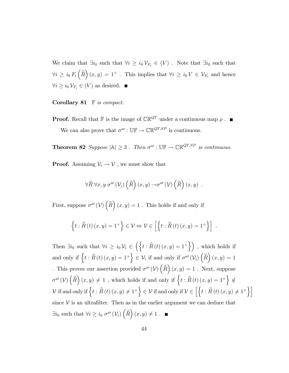We claim that  $\exists i_0$  such that  $\forall i \geq i_0 \mathcal{V}_{F_i} \in (V)$ . Note that  $\exists i_0$  such that  $\forall i \geq i_0 F_i\left(\widehat{R}\right)(x,y) = 1^+$ . This implies that  $\forall i \geq i_0 V \in \mathcal{V}_{F_i}$  and hence  $\forall i \geq i_0 \mathcal{V}_{F_i} \in (V)$  as desired.  $\blacksquare$ 

Corollary 81  $\mathbb F$  is compact.

**Proof.** Recall that **F** is the image of  $\mathbb{CR}^{QT}$  under a continuous map  $\rho$ . We can also prove that  $\sigma^{a'} : \mathbb{UF} \to \mathbb{CR}^{QT,SP}$  is continuous.

**Theorem 82** Suppose  $|\mathbb{A}| \geq 3$ . Then  $\sigma^{a'} : \mathbb{UF} \to \mathbb{CR}^{QT,SP}$  is continuous.

**Proof.** Assuming  $V_i \rightarrow V$ , we must show that

$$
\forall \widehat{R} \ \forall x, y \ \sigma^{a'}(\mathcal{V}_i) \left(\widehat{R}\right)(x, y) \rightarrow \sigma^{a'}(\mathcal{V}) \left(\widehat{R}\right)(x, y) \ .
$$

First, suppose  $\sigma^{a}(\mathcal{V})\left(\widehat{R}\right)(x,y) = 1$ . This holds if and only if

$$
\left\{t:\widehat{R}(t)(x,y)=1^+\right\}\in\mathcal{V}\Leftrightarrow\mathcal{V}\in\left[\left\{t:\widehat{R}(t)(x,y)=1^+\right\}\right]\;.
$$

Then  $\exists i_0$  such that  $\forall i \geq i_0 \mathcal{V}_i \in \left( \left\{ t : \widehat{R}(t) (x, y) = 1^+ \right\} \right)$ , which holds if and only if  $\left\{ t : \widehat{R}(t) (x, y) = 1^+ \right\}$  $\in \mathcal{V}_i$  if and only if  $\sigma^{a'}(\mathcal{V}_i)$   $(\widehat{R})$   $(x, y) = 1$ . This proves our assertion provided  $\sigma^{a}(\mathcal{V})\left(\widehat{R}\right)(x,y) = 1$ . Next, suppose  $\sigma^{a'}(\mathcal{V})\left(\widehat{R}\right)(x,y) \neq 1$ , which holds if and only if  $\left\{t:\widehat{R}\left(t\right)(x,y)=1^+\right\} \notin$  $\mathcal V \text{ if and only if }\Big\{t:\widehat R\left(t\right)(x,y)\neq 1^+\Big\}\in \mathcal V \text{ if and only if }\mathcal V\in \Big[\Big\{t:\widehat R\left(t\right)(x,y)\neq 1^+\Big\}\Big]$ since  $V$  is an ultrafilter. Then as in the earlier argument we can deduce that  $\exists i_0$  such that  $\forall i \geq i_0 \sigma^{a'}(\mathcal{V}_i) \left(\widehat{R}\right)(x, y) \neq 1$ .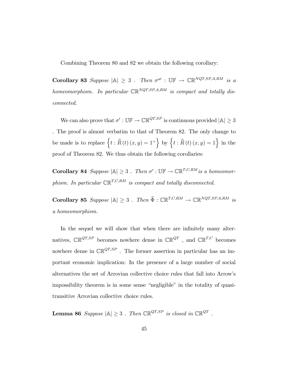Combining Theorem 80 and 82 we obtain the following corollary:

**Corollary 83** Suppose  $|A| \geq 3$ . Then  $\sigma^{a'} : \mathbb{UF} \to \mathbb{CR}^{NQT,SP,A,RM}$  is a homeomorphism. In particular  $\mathbb{CR}^{NQT,SP,A,RM}$  is compact and totally disconnected.

We can also prove that  $\sigma' : \mathbb{UF} \to \mathbb{CR}^{QT,SP}$  is continuous provided  $|\mathbb{A}| \geq 3$ . The proof is almost verbatim to that of Theorem 82. The only change to be made is to replace  $\left\{ t : \widehat{R}(t) (x, y) = 1^+ \right\}$  by  $\left\{ t : \widehat{R}(t) (x, y) = 1 \right\}$  in the proof of Theorem 82. We thus obtain the following corollaries:

**Corollary 84** Suppose  $|\mathbb{A}| \geq 3$ . Then  $\sigma' : \mathbb{UF} \to \mathbb{CR}^{T,C,RM}$  is a homeomorphism. In particular  $\mathbb{CR}^{T,C,RM}$  is compact and totally disconnected.

Corollary 85 Suppose  $|\mathbb{A}| \geq 3$ . Then  $\widetilde{\Phi}: \mathbb{CR}^{T,C,RM} \to \mathbb{CR}^{NQT,SP,A,RM}$  is a homeomorphism.

In the sequel we will show that when there are infinitely many alternatives,  $\mathbb{CR}^{QT,SP}$  becomes nowhere dense in  $\mathbb{CR}^{QT}$ , and  $\mathbb{CR}^{T,C}$  becomes nowhere dense in  $\mathbb{CR}^{QT,SP}$ . The former assertion in particular has an important economic implication: In the presence of a large number of social alternatives the set of Arrovian collective choice rules that fall into Arrowís impossibility theorem is in some sense "negligible" in the totality of quasitransitive Arrovian collective choice rules.

**Lemma 86** Suppose  $|\mathbb{A}| \geq 3$ . Then  $\mathbb{CR}^{QT,SP}$  is closed in  $\mathbb{CR}^{QT}$ .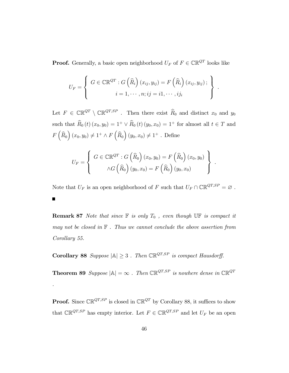**Proof.** Generally, a basic open neighborhood  $U_F$  of  $F \in \mathbb{CR}^{QT}$  looks like

$$
U_F = \left\{ G \in \mathbb{CR}^{QT}: G\left(\widehat{R}_i\right)(x_{ij}, y_{ij}) = F\left(\widehat{R}_i\right)(x_{ij}, y_{ij}); \right\}.
$$
  

$$
i = 1, \cdots, n; ij = i1, \cdots, ij_i
$$

Let  $F \in \mathbb{CR}^{QT} \setminus \mathbb{CR}^{QT,SP}$ . Then there exist  $\widehat{R}_0$  and distinct  $x_0$  and  $y_0$ such that  $\widehat{R}_0 (t) (x_0, y_0) = 1^+ \vee \widehat{R}_0 (t) (y_0, x_0) = 1^+$  for almost all  $t \in T$  and  $F\left(\widehat{R}_{0}\right)(x_{0}, y_{0}) \neq 1^{+} \wedge F\left(\widehat{R}_{0}\right)(y_{0}, x_{0}) \neq 1^{+}$ . Define

$$
U_F = \left\{ G \in \mathbb{CR}^{QT}: G\left(\widehat{R}_0\right)(x_0, y_0) = F\left(\widehat{R}_0\right)(x_0, y_0) \atop \wedge G\left(\widehat{R}_0\right)(y_0, x_0) = F\left(\widehat{R}_0\right)(y_0, x_0)
$$

.

Note that  $U_F$  is an open neighborhood of  $F$  such that  $U_F \cap \mathbb{CR}^{QT,SP} = \varnothing$  . П

**Remark 87** Note that since  $\mathbb F$  is only  $T_0$ , even though  $\mathbb{UF}$  is compact it may not be closed in  $\mathbb F$ . Thus we cannot conclude the above assertion from Corollary 55.

Corollary 88 Suppose  $|\mathbb{A}| \geq 3$ . Then  $\mathbb{CR}^{QT,SP}$  is compact Hausdorff.

.

**Theorem 89** Suppose  $|\mathbb{A}| = \infty$ . Then  $\mathbb{CR}^{QT,SP}$  is nowhere dense in  $\mathbb{CR}^{QT}$ 

**Proof.** Since  $\mathbb{CR}^{QT,SP}$  is closed in  $\mathbb{CR}^{QT}$  by Corollary 88, it suffices to show that  $\mathbb{CR}^{QT,SP}$  has empty interior. Let  $F \in \mathbb{CR}^{QT,SP}$  and let  $U_F$  be an open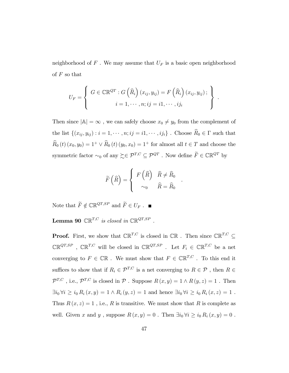neighborhood of  $F$ . We may assume that  $U_F$  is a basic open neighborhood of  $F$  so that

$$
U_F = \left\{ G \in \mathbb{CR}^{QT}: G\left(\widehat{R}_i\right)(x_{ij}, y_{ij}) = F\left(\widehat{R}_i\right)(x_{ij}, y_{ij}); \newline i = 1, \cdots, n; ij = i1, \cdots, ij_i \right\}
$$

.

Then since  $|\mathbb{A}| = \infty$ , we can safely choose  $x_0 \neq y_0$  from the complement of the list  $\{(x_{ij}, y_{ij}) : i = 1, \cdots, n; ij = i1, \cdots, ij_i\}$ . Choose  $\widehat{R}_0 \in \Gamma$  such that  $\widehat{R}_0 (t) (x_0, y_0) = 1^+ \vee \widehat{R}_0 (t) (y_0, x_0) = 1^+$  for almost all  $t \in T$  and choose the symmetric factor  $\sim_0$  of any  $\succsim \in \mathcal{P}^{T,C} \subseteq \mathcal{P}^{QT}$  . Now define  $\widetilde{F} \in \mathbb{CR}^{QT}$  by

$$
\widetilde{F}(\widehat{R}) = \begin{cases}\nF(\widehat{R}) & \widehat{R} \neq \widehat{R}_0 \\
\sim_0 & \widehat{R} = \widehat{R}_0\n\end{cases}
$$

.

Note that  $\widetilde{F}\notin\mathbb{CR}^{QT,SP}$  and  $\widetilde{F}\in U_F$  .  $\blacksquare$ 

**Lemma 90**  $\mathbb{CR}^{T,C}$  is closed in  $\mathbb{CR}^{QT,SP}$ .

**Proof.** First, we show that  $\mathbb{CR}^{T,C}$  is closed in  $\mathbb{CR}$ . Then since  $\mathbb{CR}^{T,C} \subseteq$  $\mathbb{CR}^{QT,SP}$ ,  $\mathbb{CR}^{T,C}$  will be closed in  $\mathbb{CR}^{QT,SP}$ . Let  $F_i \in \mathbb{CR}^{T,C}$  be a net converging to  $F \in \mathbb{CR}$  . We must show that  $F \in \mathbb{CR}^{T,C}$  . To this end it suffices to show that if  $R_i \in \mathcal{P}^{T,C}$  is a net converging to  $R \in \mathcal{P}$ , then  $R \in \mathcal{P}$  $\mathcal{P}^{T,C}$ , i.e.,  $\mathcal{P}^{T,C}$  is closed in  $\mathcal P$ . Suppose  $R(x,y) = 1 \wedge R(y,z) = 1$ . Then  $\exists i_0 \forall i \geq i_0 R_i(x, y) = 1 \land R_i(y, z) = 1$  and hence  $\exists i_0 \forall i \geq i_0 R_i(x, z) = 1$ . Thus  $R(x, z) = 1$ , i.e., R is transitive. We must show that R is complete as well. Given x and y, suppose  $R(x, y) = 0$ . Then  $\exists i_0 \forall i \geq i_0 R_i(x, y) = 0$ .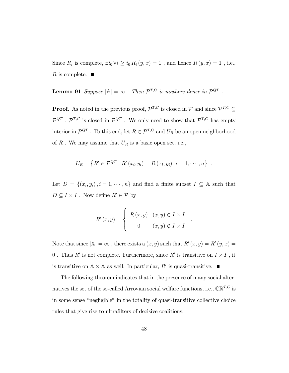Since  $R_i$  is complete,  $\exists i_0 \forall i \geq i_0 R_i(y, x) = 1$ , and hence  $R(y, x) = 1$ , i.e., R is complete.  $\blacksquare$ 

**Lemma 91** Suppose  $|\mathbb{A}| = \infty$ . Then  $\mathcal{P}^{T,C}$  is nowhere dense in  $\mathcal{P}^{QT}$ .

**Proof.** As noted in the previous proof,  $\mathcal{P}^{T,C}$  is closed in  $\mathcal{P}$  and since  $\mathcal{P}^{T,C} \subseteq$  $\mathcal{P}^{QT}$ ,  $\mathcal{P}^{T,C}$  is closed in  $\mathcal{P}^{QT}$ . We only need to show that  $\mathcal{P}^{T,C}$  has empty interior in  $\mathcal{P}^{QT}$ . To this end, let  $R \in \mathcal{P}^{T,C}$  and  $U_R$  be an open neighborhood of  $R$ . We may assume that  $U_R$  is a basic open set, i.e.,

$$
U_R = \{ R' \in \mathcal{P}^{QT} : R'(x_i, y_i) = R(x_i, y_i) , i = 1, \cdots, n \} .
$$

Let  $D = \{(x_i, y_i), i = 1, \dots, n\}$  and find a finite subset  $I \subseteq A$  such that  $D \subseteq I \times I$ . Now define  $R' \in \mathcal{P}$  by

$$
R'(x,y) = \begin{cases} R(x,y) & (x,y) \in I \times I \\ 0 & (x,y) \notin I \times I \end{cases}
$$

.

Note that since  $|\mathbb{A}| = \infty$  , there exists a  $(x, y)$  such that  $R'(x, y) = R'(y, x) =$ 0. Thus  $R'$  is not complete. Furthermore, since  $R'$  is transitive on  $I \times I$ , it is transitive on  $\mathbb{A} \times \mathbb{A}$  as well. In particular,  $R'$  is quasi-transitive.

The following theorem indicates that in the presence of many social alternatives the set of the so-called Arrovian social welfare functions, i.e.,  $\mathbb{CR}^{T,C}$  is in some sense "negligible" in the totality of quasi-transitive collective choice rules that give rise to ultrafilters of decisive coalitions.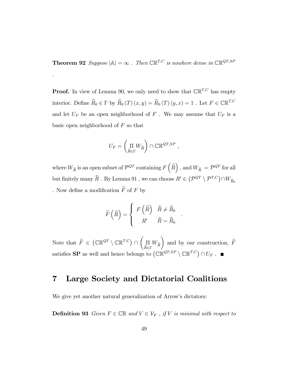**Theorem 92** Suppose  $|\mathbb{A}| = \infty$ . Then  $\mathbb{CR}^{T,C}$  is nowhere dense in  $\mathbb{CR}^{QT,SP}$ 

.

**Proof.** In view of Lemma 90, we only need to show that  $\mathbb{CR}^{T,C}$  has empty interior. Define  $\widehat R_0\in\Gamma$  by  $\widehat R_0 \left(T\right) (x,y)=\widehat R_0 \left(T\right) (y,x)=1$  . Let  $F\in{\mathbb C}{\mathbb R}^{T,C}$ and let  $U_F$  be an open neighborhood of  $F$  . We may assume that  $U_F$  is a basic open neighborhood of  $F$  so that

$$
U_F = \left(\underset{\widehat{R} \in \Gamma}{\Pi} W_{\widehat{R}}\right) \cap \mathbb{CR}^{QT,SP} \ ,
$$

where  $W_{\widehat{R}}$  is an open subset of  $\mathcal{P}^{QT}$  containing  $F\left(\widehat{R}\right)$  , and  $W_{\widehat{R}} = \mathcal{P}^{QT}$  for all but finitely many  $\widehat{R}$  . By Lemma 91, we can choose  $R'\in \big(\mathcal{P}^{QT}\setminus \mathcal{P}^{T,C}\big)\cap W_{\widehat{R}_0}$ . Now define a modification  $\widetilde{F}$  of  $F$  by

$$
\widetilde{F}\left(\widehat{R}\right) = \left\{ \begin{array}{cl} F\left(\widehat{R}\right) & \widehat{R} \neq \widehat{R}_0 \\ R' & \widehat{R} = \widehat{R}_0 \end{array} \right.
$$

.

Note that  $\widetilde{F} \in (\mathbb{CR}^{QT} \setminus \mathbb{CR}^{T,C}) \cap$  $\sqrt{ }$  $\prod\limits_{\widehat{P}\subset \Gamma} W_{\widehat{R}}$  $R \in \Gamma$  $\overline{ }$ and by our construction,  $F$ satisfies **SP** as well and hence belongs to  $(\mathbb{CR}^{QT,SP} \setminus \mathbb{CR}^{T,C}) \cap U_F$ .

### 7 Large Society and Dictatorial Coalitions

We give yet another natural generalization of Arrow's dictators:

**Definition 93** Given  $F \in \mathbb{CR}$  and  $V \in \mathcal{V}_F$ , if V is minimal with respect to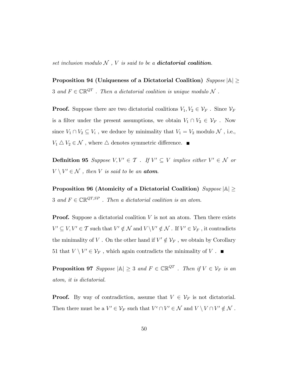set inclusion modulo  $N$ ,  $V$  is said to be a **dictatorial coalition**.

Proposition 94 (Uniqueness of a Dictatorial Coalition)  $Suppose |\mathbb{A}| \geq$ 3 and  $F\in\mathbb{CR}^{QT}$  . Then a dictatorial coalition is unique modulo  $\mathcal N$  .

**Proof.** Suppose there are two dictatorial coalitions  $V_1, V_2 \in \mathcal{V}_F$ . Since  $\mathcal{V}_F$ is a filter under the present assumptions, we obtain  $V_1 \cap V_2 \in \mathcal{V}_F$ . Now since  $V_1 \cap V_2 \subseteq V_i$ , we deduce by minimality that  $V_1 = V_2$  modulo  $\mathcal{N}$ , i.e.,  $V_1 \bigtriangleup V_2 \in \mathcal{N}$  , where  $\bigtriangleup$  denotes symmetric difference.  $\blacksquare$ 

**Definition 95** Suppose  $V, V' \in \mathcal{T}$  . If  $V' \subseteq V$  implies either  $V' \in \mathcal{N}$  or  $V \setminus V' \in \mathcal{N}$ , then V is said to be an **atom**.

Proposition 96 (Atomicity of a Dictatorial Coalition)  $Suppose |\mathbb{A}| \geq$ 3 and  $F \in \mathbb{CR}^{QT,SP}$ . Then a dictatorial coalition is an atom.

**Proof.** Suppose a dictatorial coalition  $V$  is not an atom. Then there exists  $V' \subseteq V, V' \in \mathcal{T}$  such that  $V' \notin \mathcal{N}$  and  $V \setminus V' \notin \mathcal{N}$ . If  $V' \in \mathcal{V}_F$ , it contradicts the minimality of V. On the other hand if  $V' \notin \mathcal{V}_F$ , we obtain by Corollary 51 that  $V \setminus V' \in \mathcal{V}_F$ , which again contradicts the minimality of V.

**Proposition 97** Suppose  $|\mathbb{A}| \geq 3$  and  $F \in \mathbb{CR}^{QT}$  . Then if  $V \in \mathcal{V}_F$  is an atom, it is dictatorial.

**Proof.** By way of contradiction, assume that  $V \in \mathcal{V}_F$  is not dictatorial. Then there must be a  $V' \in \mathcal{V}_F$  such that  $V^c \cap V' \in \mathcal{N}$  and  $V \setminus V \cap V' \notin \mathcal{N}$ .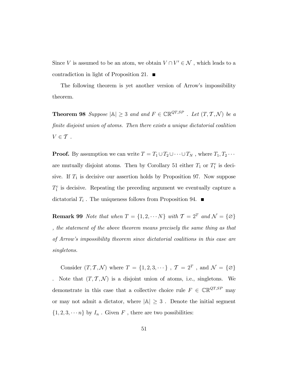Since V is assumed to be an atom, we obtain  $V \cap V' \in \mathcal{N}$ , which leads to a contradiction in light of Proposition 21.  $\blacksquare$ 

The following theorem is yet another version of Arrow's impossibility theorem.

**Theorem 98** Suppose  $|\mathbb{A}| \geq 3$  and and  $F \in \mathbb{CR}^{QT,SP}$  . Let  $(T, \mathcal{T}, \mathcal{N})$  be a finite disjoint union of atoms. Then there exists a unique dictatorial coalition  $V \in \mathcal{T}$ .

**Proof.** By assumption we can write  $T = T_1 \cup T_2 \cup \cdots \cup T_N$ , where  $T_1, T_2 \cdots$ are mutually disjoint atoms. Then by Corollary 51 either  $T_1$  or  $T_1^c$  is decisive. If  $T_1$  is decisive our assertion holds by Proposition 97. Now suppose  $T_1^c$  is decisive. Repeating the preceding argument we eventually capture a dictatorial  $T_i$ . The uniqueness follows from Proposition 94.

**Remark 99** Note that when  $T = \{1, 2, \dots N\}$  with  $\mathcal{T} = 2^T$  and  $\mathcal{N} = \{\emptyset\}$ , the statement of the above theorem means precisely the same thing as that of Arrowís impossibility theorem since dictatorial coalitions in this case are singletons.

Consider  $(T, \mathcal{T}, \mathcal{N})$  where  $T = \{1, 2, 3, \dots\}$ ,  $\mathcal{T} = 2^T$ , and  $\mathcal{N} = \{\emptyset\}$ Note that  $(T, \mathcal{T}, \mathcal{N})$  is a disjoint union of atoms, i.e., singletons. We demonstrate in this case that a collective choice rule  $F \in \mathbb{CR}^{QT,SP}$  may or may not admit a dictator, where  $|A| \geq 3$ . Denote the initial segment  $\{1, 2, 3, \dots n\}$  by  $I_n$ . Given  $F$ , there are two possibilities: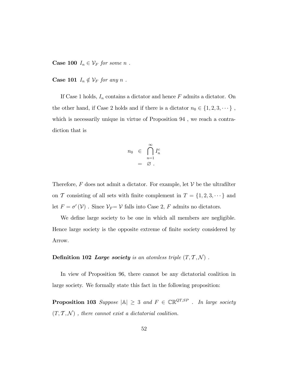**Case 100**  $I_n \in \mathcal{V}_F$  for some n.

**Case 101**  $I_n \notin \mathcal{V}_F$  for any n.

If Case 1 holds,  $I_n$  contains a dictator and hence  $F$  admits a dictator. On the other hand, if Case 2 holds and if there is a dictator  $n_0 \in \{1, 2, 3, \dots\}$ , which is necessarily unique in virtue of Proposition 94, we reach a contradiction that is

$$
n_0 \in \bigcap_{n=1}^{\infty} I_n^c
$$
  
=  $\varnothing$ .

Therefore,  $F$  does not admit a dictator. For example, let  $V$  be the ultrafilter on T consisting of all sets with finite complement in  $T = \{1, 2, 3, \dots\}$  and let  $F = \sigma'(\mathcal{V})$ . Since  $\mathcal{V}_F = \mathcal{V}$  falls into Case 2, F admits no dictators.

We define large society to be one in which all members are negligible. Hence large society is the opposite extreme of finite society considered by Arrow.

## Definition 102 Large society is an atomless triple  $(T, \mathcal{T}, \mathcal{N})$ .

In view of Proposition 96, there cannot be any dictatorial coalition in large society. We formally state this fact in the following proposition:

**Proposition 103** Suppose  $|A| \geq 3$  and  $F \in \mathbb{CR}^{QT,SP}$  . In large society  $(T, T, \mathcal{N})$ , there cannot exist a dictatorial coalition.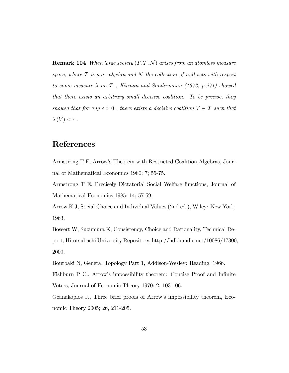**Remark 104** When large society  $(T, \mathcal{T}, \mathcal{N})$  arises from an atomless measure space, where  $T$  is a  $\sigma$  -algebra and  $\mathcal N$  the collection of null sets with respect to some measure  $\lambda$  on  $\mathcal T$ , Kirman and Sondermann (1972, p.271) showed that there exists an arbitrary small decisive coalition. To be precise, they showed that for any  $\epsilon > 0$ , there exists a decisive coalition  $V \in \mathcal{T}$  such that  $\lambda(V) < \epsilon$ .

## References

Armstrong T E, Arrowís Theorem with Restricted Coalition Algebras, Journal of Mathematical Economics 1980; 7; 55-75.

Armstrong T E, Precisely Dictatorial Social Welfare functions, Journal of Mathematical Economics 1985; 14; 57-59.

Arrow K J, Social Choice and Individual Values (2nd ed.), Wiley: New York; 1963.

Bossert W, Suzumura K, Consistency, Choice and Rationality, Technical Report, Hitotsubashi University Repository, http://hdl.handle.net/10086/17300, 2009.

Bourbaki N, General Topology Part 1, Addison-Wesley: Reading; 1966.

Fishburn P C., Arrow's impossibility theorem: Concise Proof and Infinite Voters, Journal of Economic Theory 1970; 2, 103-106.

Geanakoplos J., Three brief proofs of Arrowís impossibility theorem, Economic Theory 2005; 26, 211-205.